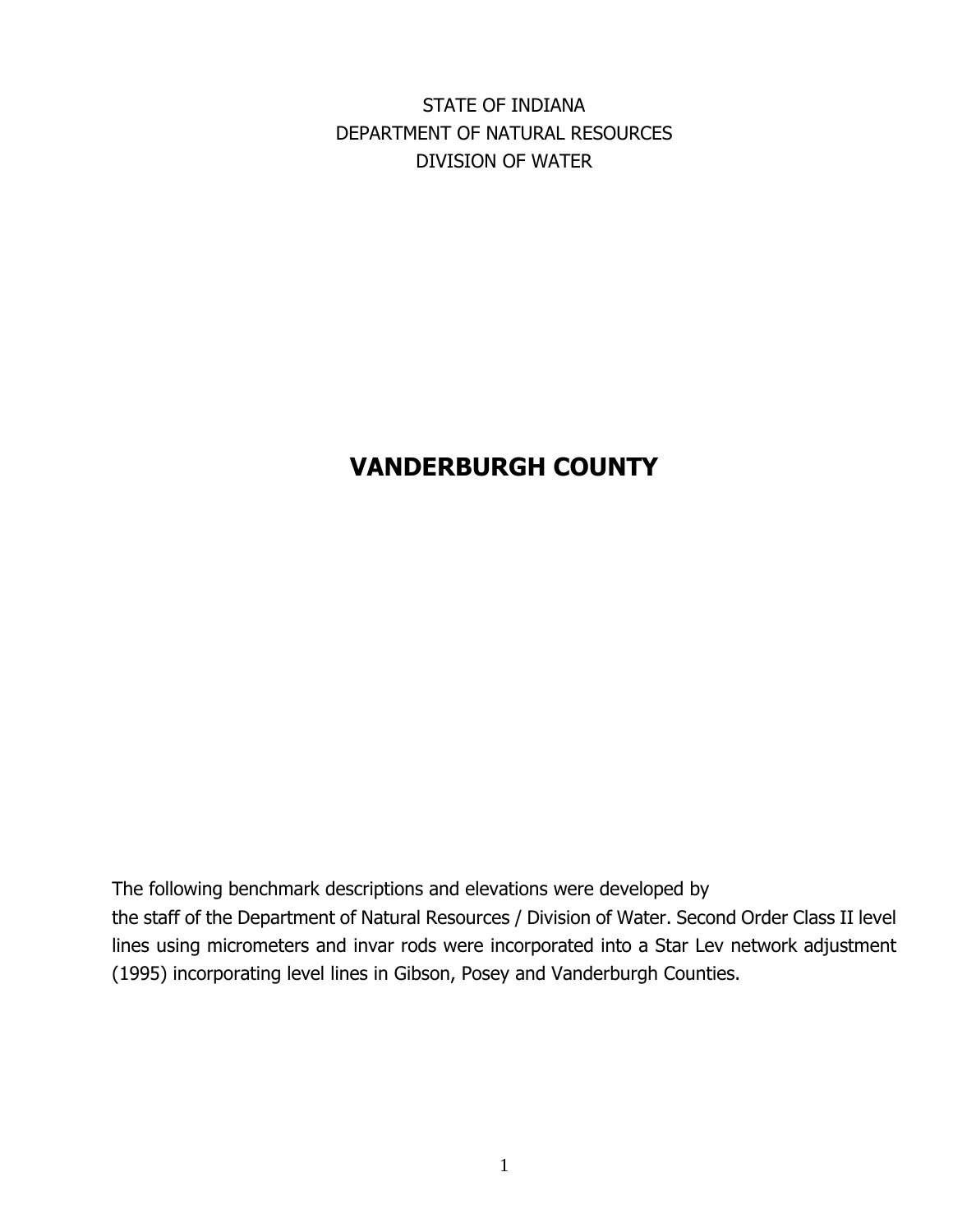STATE OF INDIANA DEPARTMENT OF NATURAL RESOURCES DIVISION OF WATER

# **VANDERBURGH COUNTY**

The following benchmark descriptions and elevations were developed by the staff of the Department of Natural Resources / Division of Water. Second Order Class II level lines using micrometers and invar rods were incorporated into a Star Lev network adjustment (1995) incorporating level lines in Gibson, Posey and Vanderburgh Counties.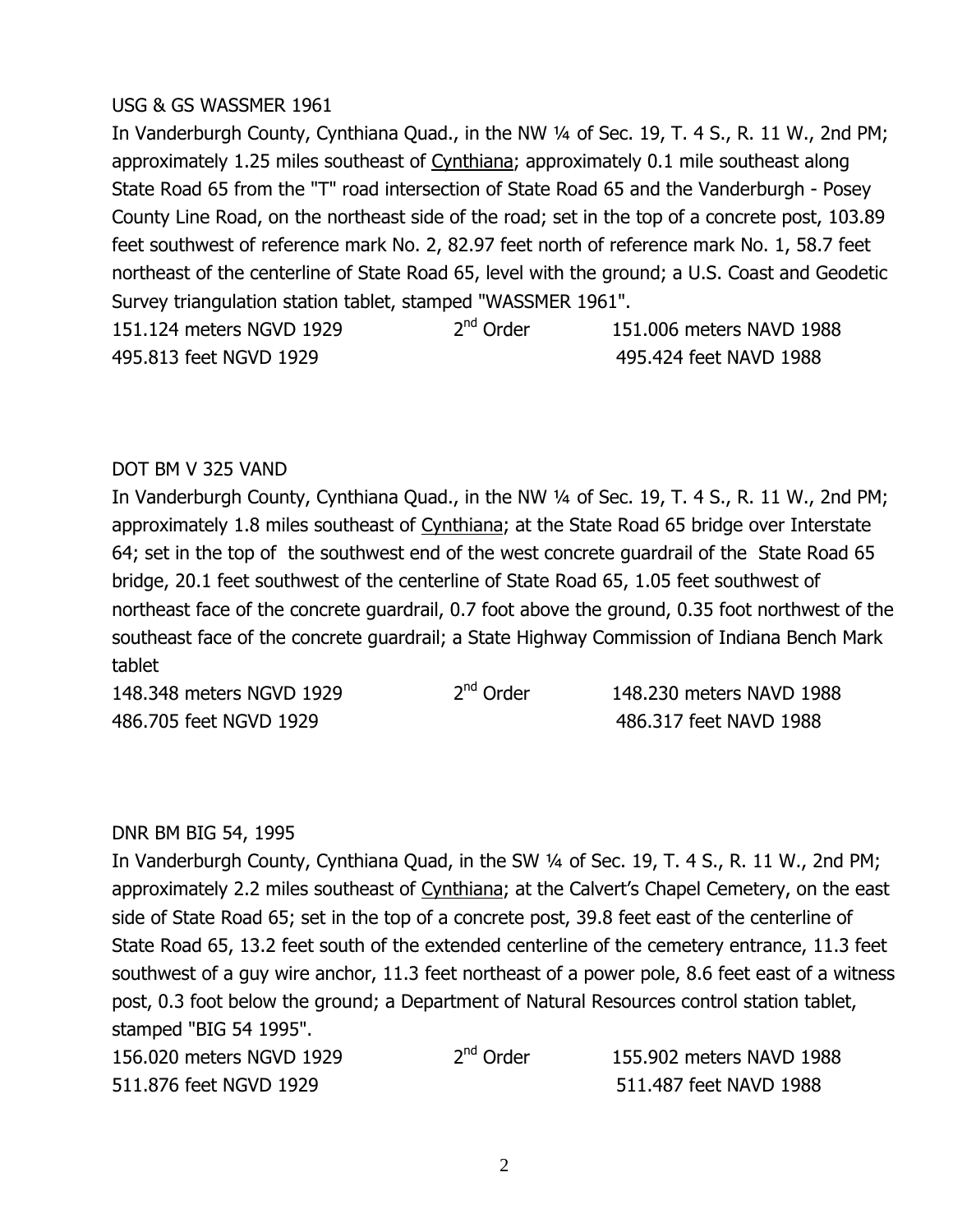#### USG & GS WASSMER 1961

In Vanderburgh County, Cynthiana Quad., in the NW 1/4 of Sec. 19, T. 4 S., R. 11 W., 2nd PM; approximately 1.25 miles southeast of Cynthiana; approximately 0.1 mile southeast along State Road 65 from the "T" road intersection of State Road 65 and the Vanderburgh - Posey County Line Road, on the northeast side of the road; set in the top of a concrete post, 103.89 feet southwest of reference mark No. 2, 82.97 feet north of reference mark No. 1, 58.7 feet northeast of the centerline of State Road 65, level with the ground; a U.S. Coast and Geodetic Survev triangulation station tablet, stamped "WASSMER 1961". 151.124 meters NGVD 1929  $2<sup>nd</sup>$  Order 151.006 meters NAVD 1988

WNOJ\_M^%544E%)Q1\*%MNXN% %%%%% WNOJWXW%544E%)#1\*%MN\_\_%

## DOT BM V 325 VAND

In Vanderburgh County, Cynthiana Quad., in the NW 1/4 of Sec. 19, T. 4 S., R. 11 W., 2nd PM; approximately 1.8 miles southeast of Cynthiana; at the State Road 65 bridge over Interstate 64; set in the top of the southwest end of the west concrete quardrail of the State Road 65 bridge, 20.1 feet southwest of the centerline of State Road 65, 1.05 feet southwest of northeast face of the concrete quardrail, 0.7 foot above the ground, 0.35 foot northwest of the southeast face of the concrete guardrail; a State Highway Commission of Indiana Bench Mark tablet

| 148.348 meters NGVD 1929 | 2 <sup>nd</sup> Order | 148,230 meters NAVD 1988 |
|--------------------------|-----------------------|--------------------------|
| 486.705 feet NGVD 1929   |                       | 486.317 feet NAVD 1988   |

# DNR BM BIG 54, 1995

In Vanderburgh County, Cynthiana Quad, in the SW 1/4 of Sec. 19, T. 4 S., R. 11 W., 2nd PM; approximately 2.2 miles southeast of Cynthiana; at the Calvert's Chapel Cemetery, on the east side of State Road 65; set in the top of a concrete post, 39.8 feet east of the centerline of State Road 65, 13.2 feet south of the extended centerline of the cemetery entrance, 11.3 feet southwest of a guy wire anchor, 11.3 feet northeast of a power pole, 8.6 feet east of a witness post, 0.3 foot below the ground; a Department of Natural Resources control station tablet, stamped "BIG 54 1995".

| 156,020 meters NGVD 1929 | 2 <sup>nd</sup> Order | 155.902 meters NAVD 1988 |
|--------------------------|-----------------------|--------------------------|
| 511.876 feet NGVD 1929   |                       | 511.487 feet NAVD 1988   |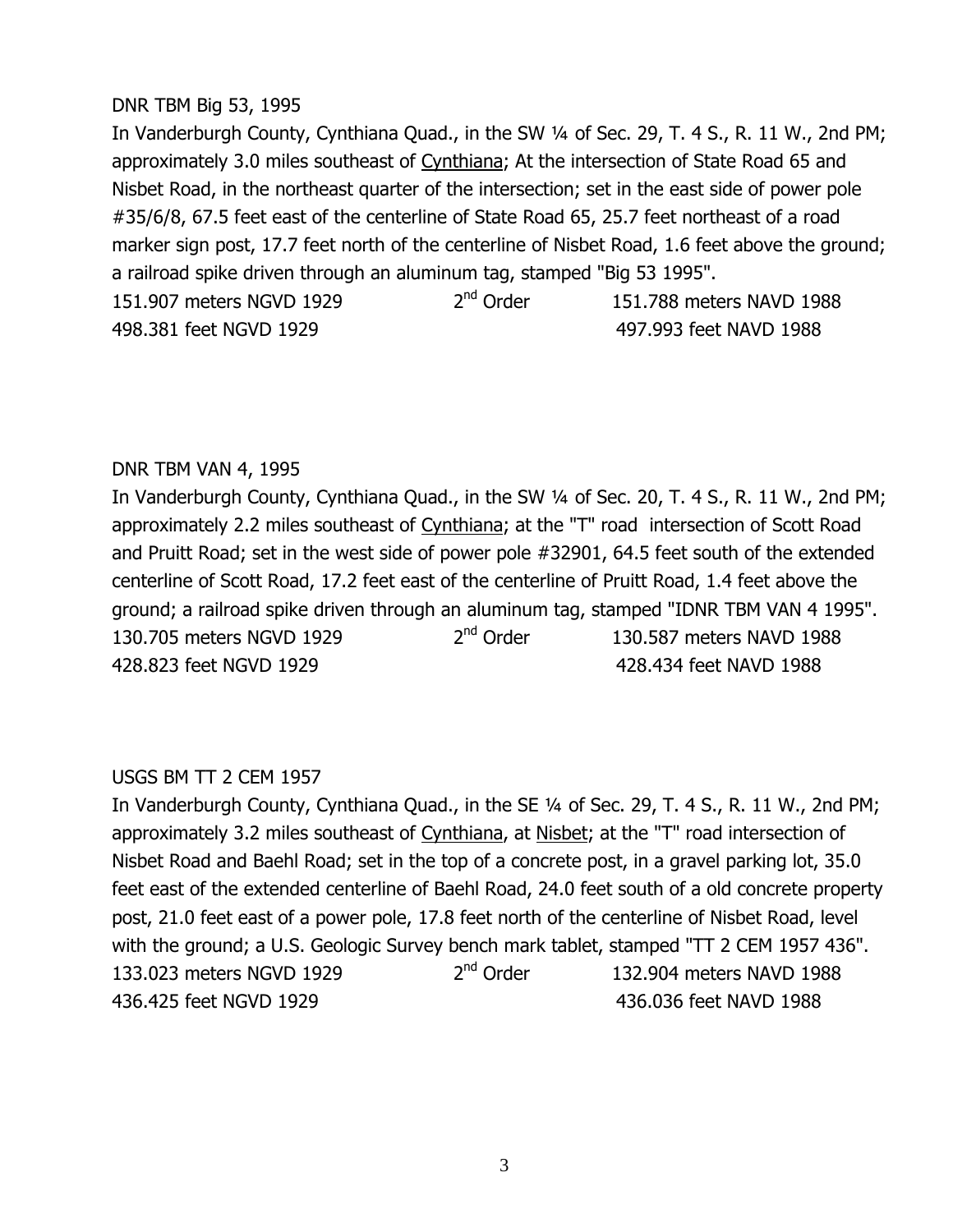#### DNR TBM Big 53, 1995

In Vanderburgh County, Cynthiana Quad., in the SW 1/4 of Sec. 29, T. 4 S., R. 11 W., 2nd PM; approximately 3.0 miles southeast of Cynthiana; At the intersection of State Road 65 and Nisbet Road, in the northeast quarter of the intersection; set in the east side of power pole #35/6/8, 67.5 feet east of the centerline of State Road 65, 25.7 feet northeast of a road marker sign post, 17.7 feet north of the centerline of Nisbet Road, 1.6 feet above the ground; a railroad spike driven through an aluminum tag, stamped "Big 53 1995". 151.907 meters NGVD 1929  $2<sup>nd</sup>$  Order  $151.788$  meters NAVD 1988 WN\_J^\_M%544E%)Q1\*%MNXN% %%%%% WN`JNN^%544E%)#1\*%MN\_\_%

#### DNR TBM VAN 4, 1995

In Vanderburgh County, Cynthiana Quad., in the SW 1/4 of Sec. 20, T. 4 S., R. 11 W., 2nd PM; approximately 2.2 miles southeast of Cynthiana; at the "T" road intersection of Scott Road and Pruitt Road; set in the west side of power pole #32901, 64.5 feet south of the extended centerline of Scott Road, 17.2 feet east of the centerline of Pruitt Road, 1.4 feet above the ground; a railroad spike driven through an aluminum tag, stamped "IDNR TBM VAN 4 1995". 130.705 meters NGVD 1929  $2<sup>nd</sup>$  Order 130.587 meters NAVD 1988 A 28.823 feet NGVD 1929 MAXWO 6428.434 feet NAVD 1988

#### USGS BM TT 2 CEM 1957

In Vanderburgh County, Cynthiana Quad., in the SE 1/4 of Sec. 29, T. 4 S., R. 11 W., 2nd PM; approximately 3.2 miles southeast of Cynthiana, at Nisbet; at the "T" road intersection of Nisbet Road and Baehl Road; set in the top of a concrete post, in a gravel parking lot, 35.0 feet east of the extended centerline of Baehl Road, 24.0 feet south of a old concrete property post, 21.0 feet east of a power pole, 17.8 feet north of the centerline of Nisbet Road, level with the ground; a U.S. Geologic Survey bench mark tablet, stamped "TT 2 CEM 1957 436". 133.023 meters NGVD 1929  $2<sup>nd</sup>$  Order  $132.904$  meters NAVD 1988 W^TJWXO%544E%)Q1\*%MNXN% %%%%% W^TJ[^T%544E%)#1\*%MN\_\_%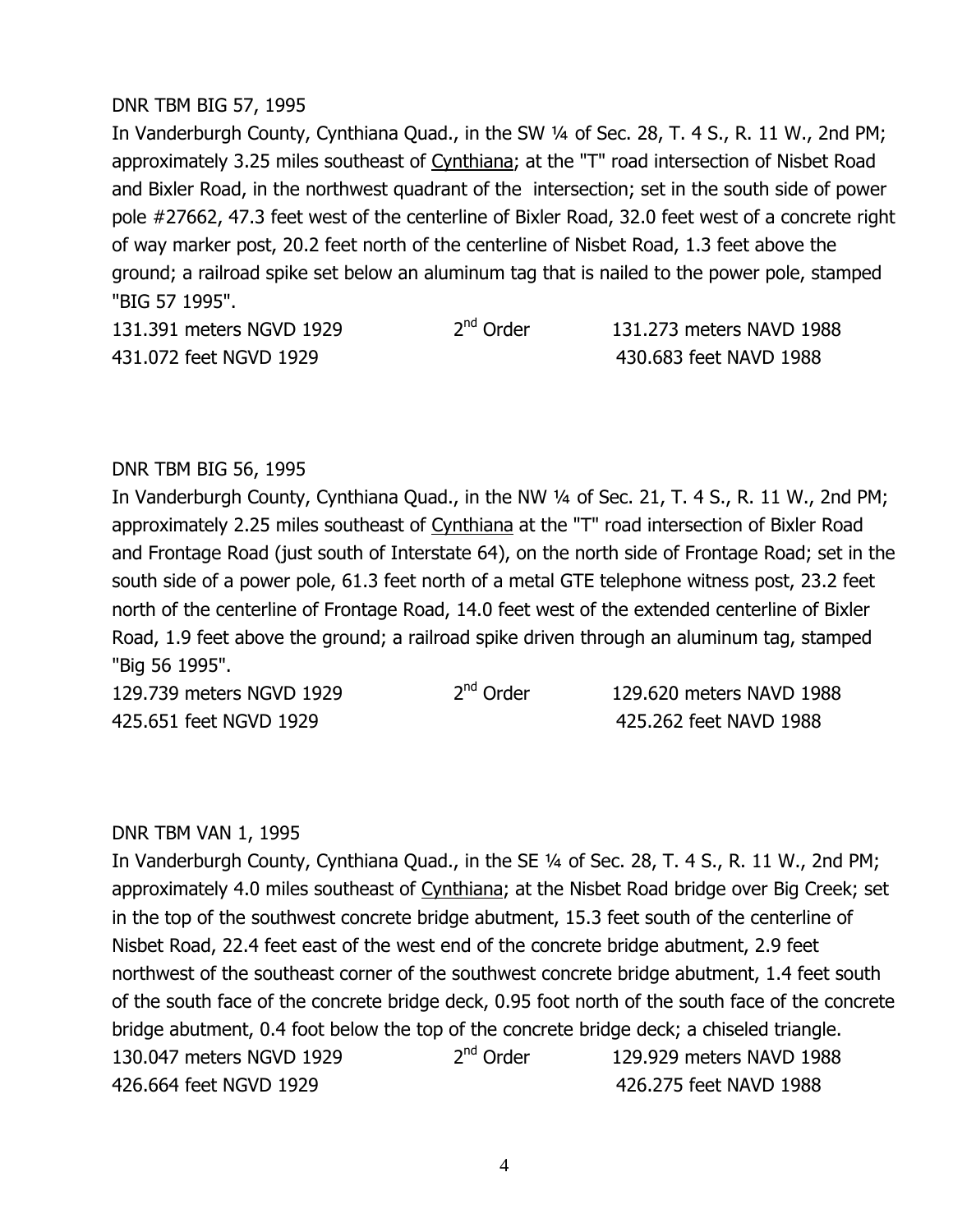#### DNR TBM BIG 57, 1995

In Vanderburgh County, Cynthiana Quad., in the SW 1/4 of Sec. 28, T. 4 S., R. 11 W., 2nd PM; approximately 3.25 miles southeast of Cynthiana; at the "T" road intersection of Nisbet Road and Bixler Road, in the northwest quadrant of the intersection; set in the south side of power pole #27662, 47.3 feet west of the centerline of Bixler Road, 32.0 feet west of a concrete right of way marker post, 20.2 feet north of the centerline of Nisbet Road, 1.3 feet above the ground; a railroad spike set below an aluminum tag that is nailed to the power pole, stamped "BIG 57 1995".

| 131.391 meters NGVD 1929 |  |
|--------------------------|--|
| 431.072 feet NGVD 1929   |  |

 $2<sup>nd</sup> Order$  131.273 meters NAVD 1988 430,683 feet NAVD 1988

#### DNR TBM BIG 56, 1995

In Vanderburgh County, Cynthiana Quad., in the NW 1/4 of Sec. 21, T. 4 S., R. 11 W., 2nd PM; approximately 2.25 miles southeast of Cynthiana at the "T" road intersection of Bixler Road and Frontage Road (just south of Interstate 64), on the north side of Frontage Road; set in the south side of a power pole, 61.3 feet north of a metal GTE telephone witness post, 23.2 feet north of the centerline of Frontage Road, 14.0 feet west of the extended centerline of Bixler Road, 1.9 feet above the ground; a railroad spike driven through an aluminum tag, stamped "Big 56 1995".

| 129.739 meters NGVD 1929 | 2 <sup>nd</sup> Order | 129.620 meters NAVD 1988 |
|--------------------------|-----------------------|--------------------------|
| 425.651 feet NGVD 1929   |                       | 425.262 feet NAVD 1988   |

#### DNR TBM VAN 1, 1995

In Vanderburgh County, Cynthiana Quad., in the SE 1/4 of Sec. 28, T. 4 S., R. 11 W., 2nd PM; approximately 4.0 miles southeast of Cynthiana; at the Nisbet Road bridge over Big Creek; set in the top of the southwest concrete bridge abutment, 15.3 feet south of the centerline of Nisbet Road, 22.4 feet east of the west end of the concrete bridge abutment, 2.9 feet northwest of the southeast corner of the southwest concrete bridge abutment, 1.4 feet south of the south face of the concrete bridge deck, 0.95 foot north of the south face of the concrete bridge abutment, 0.4 foot below the top of the concrete bridge deck; a chiseled triangle. 130.047 meters NGVD 1929  $2<sup>nd</sup>$  Order 129.929 meters NAVD 1988 WXTJTTW%544E%)Q1\*%MNXN% %%%%% WXTJX`O%544E%)#1\*%MN\_\_%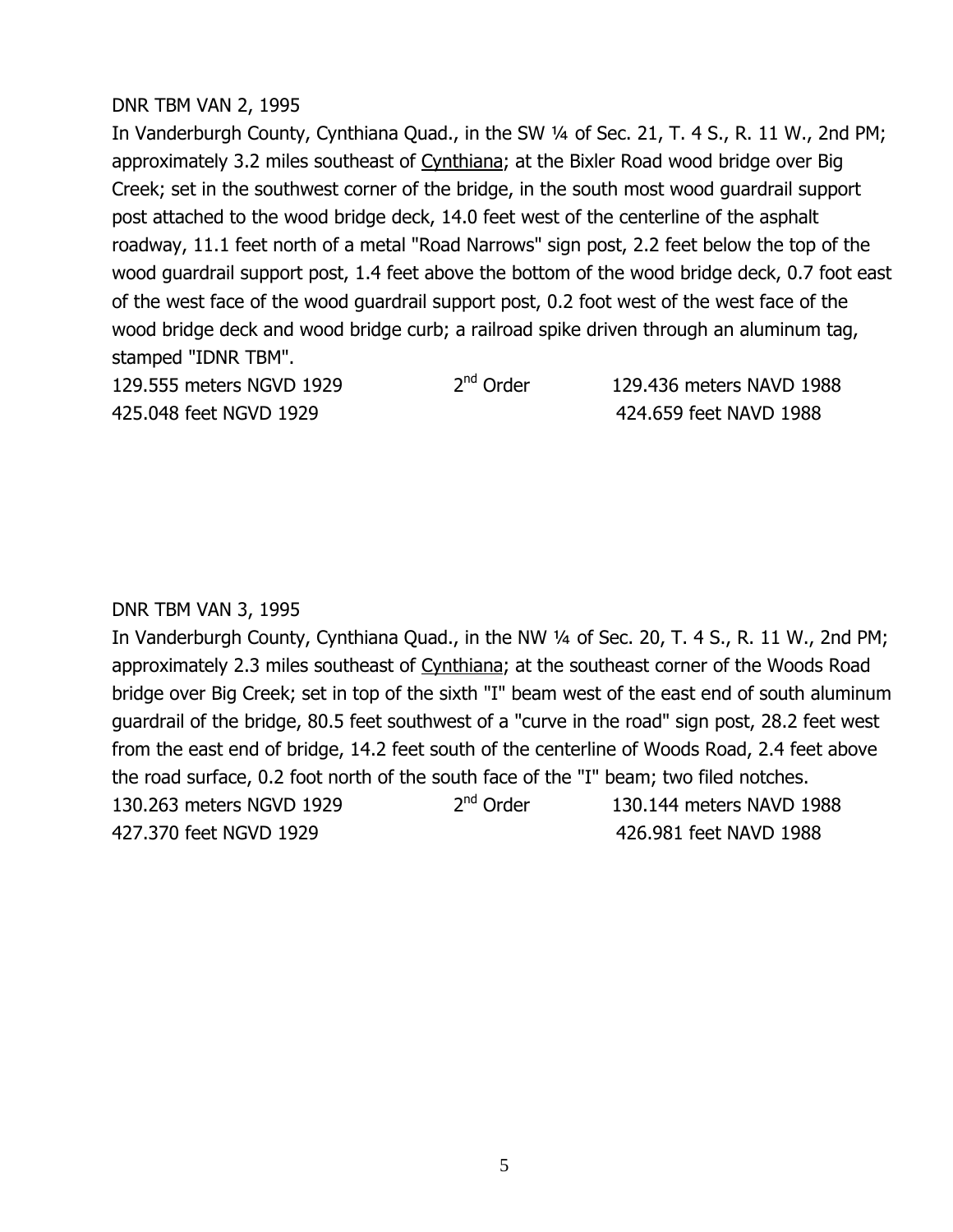## DNR TBM VAN 2, 1995

In Vanderburgh County, Cynthiana Quad., in the SW 1/4 of Sec. 21, T. 4 S., R. 11 W., 2nd PM; approximately 3.2 miles southeast of Cynthiana; at the Bixler Road wood bridge over Big Creek; set in the southwest corner of the bridge, in the south most wood quardrail support post attached to the wood bridge deck, 14.0 feet west of the centerline of the asphalt roadway, 11.1 feet north of a metal "Road Narrows" sign post, 2.2 feet below the top of the wood quardrail support post, 1.4 feet above the bottom of the wood bridge deck, 0.7 foot east of the west face of the wood quardrail support post, 0.2 foot west of the west face of the wood bridge deck and wood bridge curb; a railroad spike driven through an aluminum tag, stamped "IDNR TBM".

129.555 meters NGVD 1929  $2<sup>nd</sup>$  Order 129.436 meters NAVD 1988 425.048 feet NGVD 1929 688 688 692 6424.659 feet NAVD 1988

#### DNR TBM VAN 3, 1995

In Vanderburgh County, Cynthiana Quad., in the NW 1/4 of Sec. 20, T. 4 S., R. 11 W., 2nd PM; approximately 2.3 miles southeast of Cynthiana; at the southeast corner of the Woods Road bridge over Big Creek; set in top of the sixth "I" beam west of the east end of south aluminum quardrail of the bridge, 80.5 feet southwest of a "curve in the road" sign post, 28.2 feet west from the east end of bridge, 14.2 feet south of the centerline of Woods Road, 2.4 feet above the road surface, 0.2 foot north of the south face of the "I" beam; two filed notches. 130.263 meters NGVD 1929  $2<sup>nd</sup>$  Order  $130.144$  meters NAVD 1988 WX`J^`[%544E%)Q1\*%MNXN% %%%%% WXTJN\_M%544E%)#1\*%MN\_\_%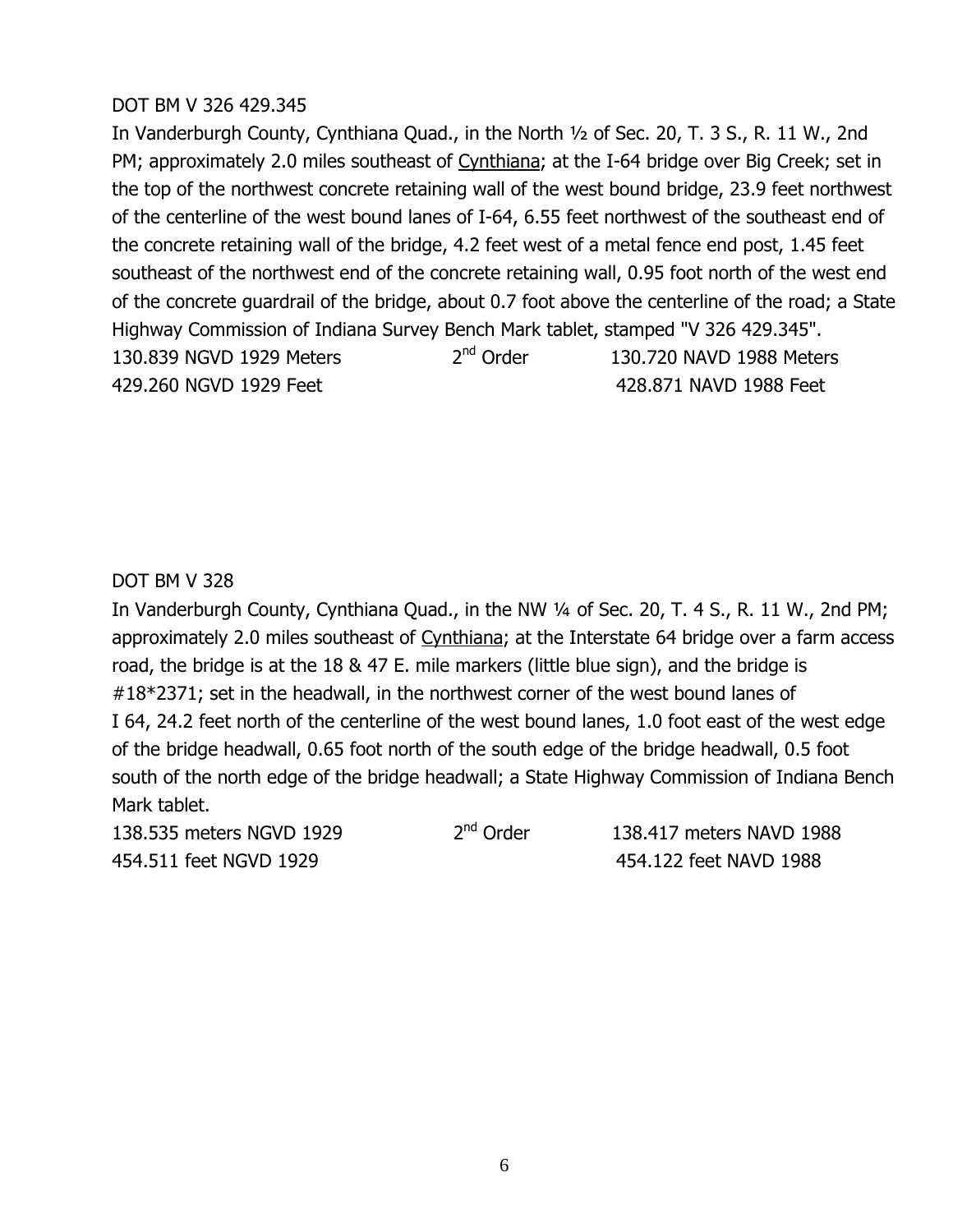## **DOT BM V 326 429.345**

In Vanderburgh County, Cynthiana Quad., in the North 1/2 of Sec. 20, T. 3 S., R. 11 W., 2nd PM; approximately 2.0 miles southeast of Cynthiana; at the I-64 bridge over Big Creek; set in the top of the northwest concrete retaining wall of the west bound bridge, 23.9 feet northwest of the centerline of the west bound lanes of I-64, 6.55 feet northwest of the southeast end of the concrete retaining wall of the bridge, 4.2 feet west of a metal fence end post, 1.45 feet southeast of the northwest end of the concrete retaining wall, 0.95 foot north of the west end of the concrete quardrail of the bridge, about 0.7 foot above the centerline of the road; a State Highway Commission of Indiana Survey Bench Mark tablet, stamped "V 326 429.345". 130.839 NGVD 1929 Meters  $2<sup>nd</sup>$  Order 130.720 NAVD 1988 Meters 429.260 NGVD 1929 Feet 2008 2009 100 2009 100 428.871 NAVD 1988 Feet

#### **DOT BM V 328**

In Vanderburgh County, Cynthiana Quad., in the NW 1/4 of Sec. 20, T. 4 S., R. 11 W., 2nd PM; approximately 2.0 miles southeast of Cynthiana; at the Interstate 64 bridge over a farm access road, the bridge is at the 18 & 47 E. mile markers (little blue sign), and the bridge is  $#18*2371$ ; set in the headwall, in the northwest corner of the west bound lanes of I 64, 24.2 feet north of the centerline of the west bound lanes, 1.0 foot east of the west edge of the bridge headwall, 0.65 foot north of the south edge of the bridge headwall, 0.5 foot south of the north edge of the bridge headwall; a State Highway Commission of Indiana Bench Mark tablet.

138.535 meters NGVD 1929  $2<sup>nd</sup>$  Order 138.417 meters NAVD 1988 WOWJOMM%544E%)Q1\*%MNXN% %%%%% WOWJMXX%544E%)#1\*%MN\_\_%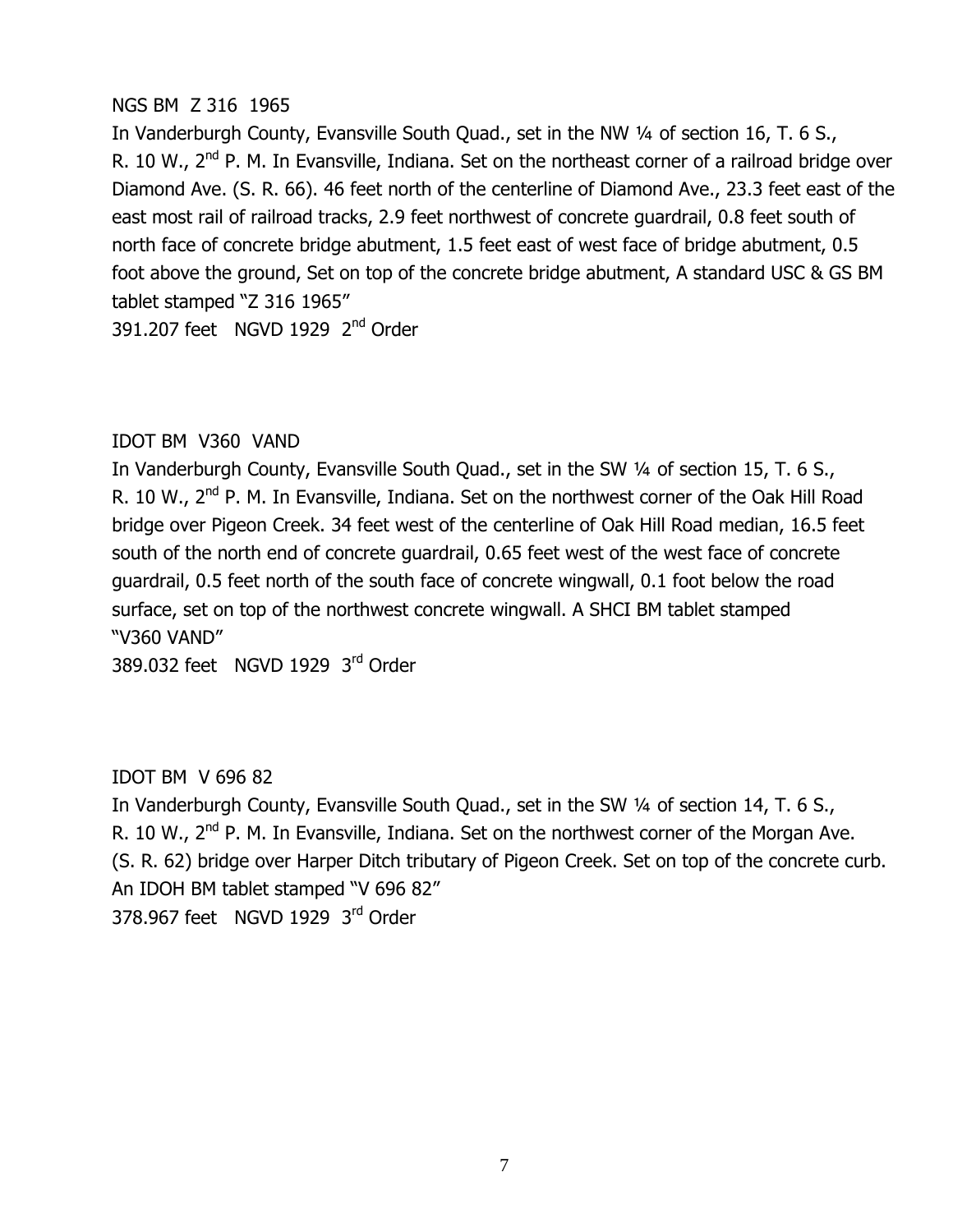## NGS BM Z 316 1965

In Vanderburgh County, Evansville South Quad., set in the NW 1/4 of section 16, T. 6 S., R. 10 W., 2<sup>nd</sup> P. M. In Evansville, Indiana. Set on the northeast corner of a railroad bridge over Diamond Ave. (S. R. 66). 46 feet north of the centerline of Diamond Ave., 23.3 feet east of the east most rail of railroad tracks, 2.9 feet northwest of concrete quardrail, 0.8 feet south of north face of concrete bridge abutment, 1.5 feet east of west face of bridge abutment, 0.5 foot above the ground, Set on top of the concrete bridge abutment, A standard USC & GS BM tablet stamped "Z 316 1965"

391.207 feet NGVD 1929 2<sup>nd</sup> Order

# IDOT BM V360 VAND

In Vanderburgh County, Evansville South Quad., set in the SW 1/4 of section 15, T. 6 S., R. 10 W., 2<sup>nd</sup> P. M. In Evansville, Indiana. Set on the northwest corner of the Oak Hill Road bridge over Pigeon Creek. 34 feet west of the centerline of Oak Hill Road median, 16.5 feet south of the north end of concrete quardrail, 0.65 feet west of the west face of concrete quardrail, 0.5 feet north of the south face of concrete wingwall, 0.1 foot below the road surface, set on top of the northwest concrete wingwall. A SHCI BM tablet stamped "V360 VAND"

389.032 feet NGVD 1929  $3^{\text{rd}}$  Order

# IDOT BM V 696 82

In Vanderburgh County, Evansville South Quad., set in the SW 1/4 of section 14, T. 6 S., R. 10 W., 2<sup>nd</sup> P. M. In Evansville, Indiana. Set on the northwest corner of the Morgan Ave. (S. R. 62) bridge over Harper Ditch tributary of Pigeon Creek. Set on top of the concrete curb. An IDOH BM tablet stamped "V 696 82" 378,967 feet NGVD 1929 3rd Order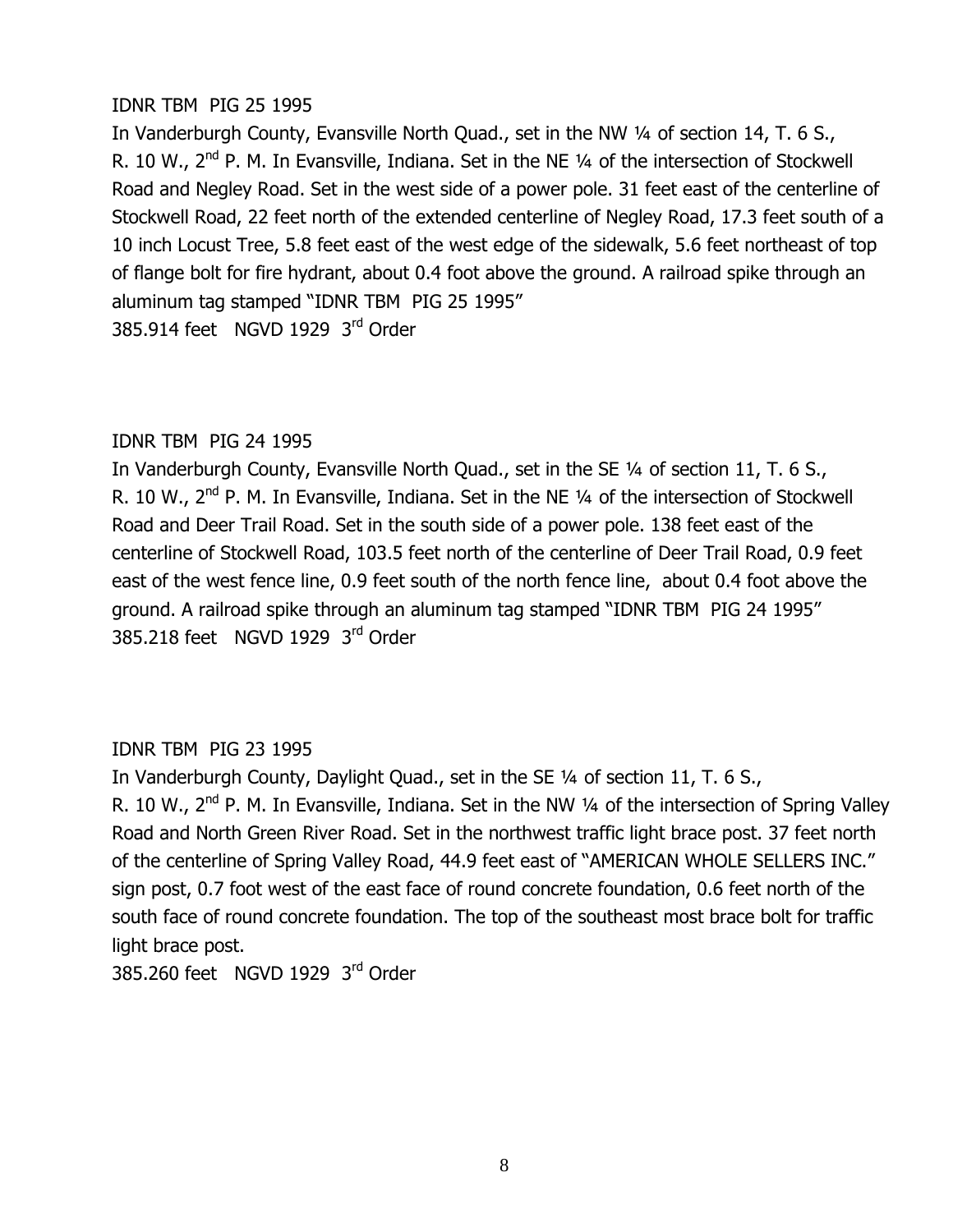## IDNR TBM PIG 25 1995

In Vanderburgh County, Evansville North Quad., set in the NW 1/4 of section 14, T. 6 S., R. 10 W., 2<sup>nd</sup> P. M. In Evansville, Indiana. Set in the NE 1/4 of the intersection of Stockwell Road and Negley Road. Set in the west side of a power pole. 31 feet east of the centerline of Stockwell Road, 22 feet north of the extended centerline of Negley Road, 17.3 feet south of a 10 inch Locust Tree, 5.8 feet east of the west edge of the sidewalk, 5.6 feet northeast of top of flange bolt for fire hydrant, about 0.4 foot above the ground. A railroad spike through an aluminum tag stamped "IDNR TBM PIG 25 1995" 385.914 feet NGVD 1929  $3^{\text{rd}}$  Order

#### IDNR TBM PIG 24 1995

In Vanderburgh County, Evansville North Quad., set in the SE 1/4 of section 11, T. 6 S., R. 10 W., 2<sup>nd</sup> P. M. In Evansville, Indiana. Set in the NE 1/4 of the intersection of Stockwell Road and Deer Trail Road. Set in the south side of a power pole. 138 feet east of the centerline of Stockwell Road, 103.5 feet north of the centerline of Deer Trail Road, 0.9 feet east of the west fence line, 0.9 feet south of the north fence line, about 0.4 foot above the ground. A railroad spike through an aluminum tag stamped "IDNR TBM PIG 24 1995" 385.218 feet NGVD 1929  $3^{\text{rd}}$  Order

# IDNR TBM PIG 23 1995

In Vanderburgh County, Daylight Quad., set in the SE 1/4 of section 11, T. 6 S., R. 10 W., 2<sup>nd</sup> P. M. In Evansville, Indiana. Set in the NW 1/4 of the intersection of Spring Valley Road and North Green River Road. Set in the northwest traffic light brace post. 37 feet north of the centerline of Spring Valley Road, 44.9 feet east of "AMERICAN WHOLE SELLERS INC." sign post, 0.7 foot west of the east face of round concrete foundation, 0.6 feet north of the south face of round concrete foundation. The top of the southeast most brace bolt for traffic light brace post.

385,260 feet NGVD 1929  $3^{\text{rd}}$  Order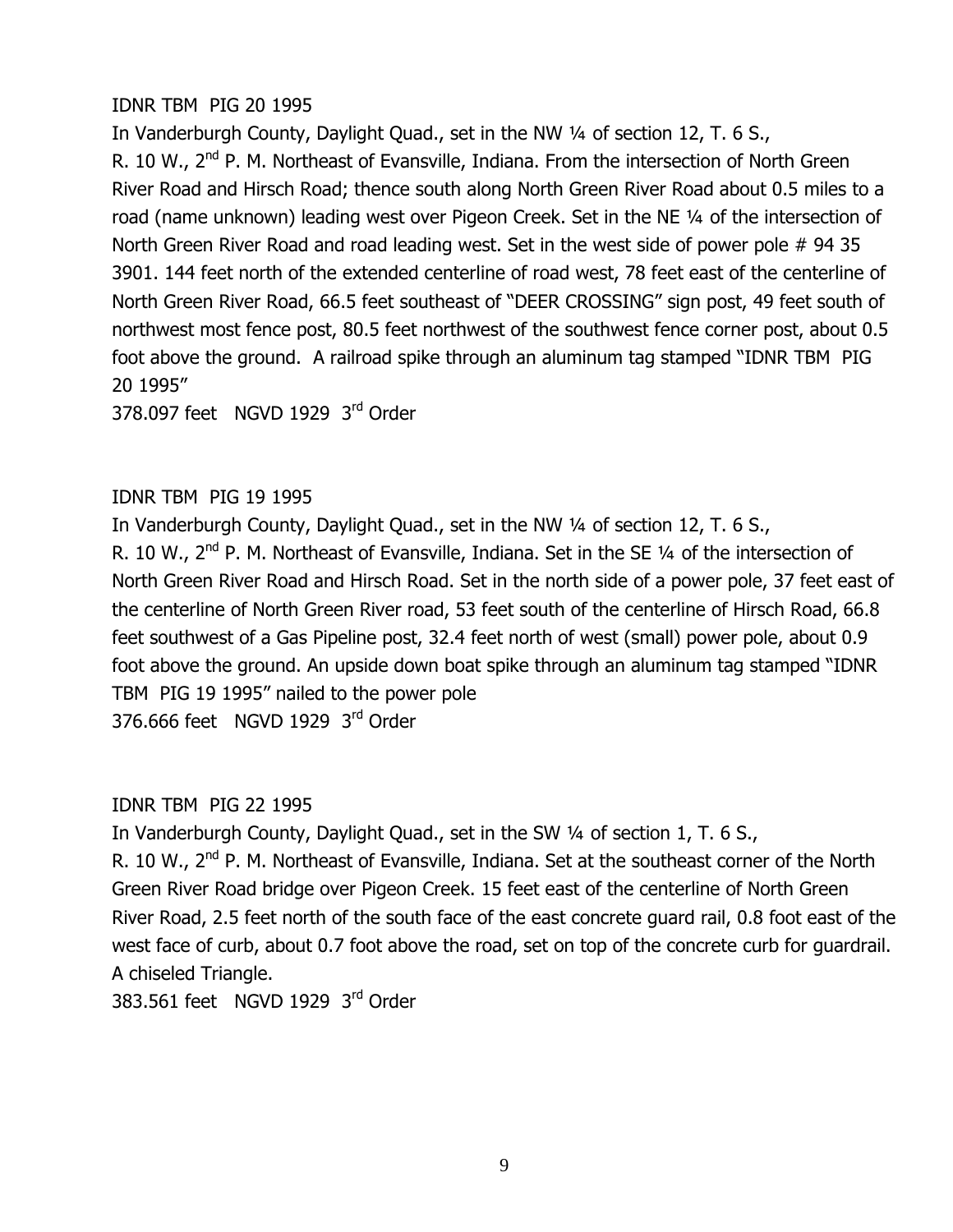#### IDNR TBM PIG 20 1995

In Vanderburgh County, Daylight Quad., set in the NW 1/4 of section 12, T. 6 S., R. 10 W., 2<sup>nd</sup> P. M. Northeast of Evansville, Indiana. From the intersection of North Green River Road and Hirsch Road; thence south along North Green River Road about 0.5 miles to a road (name unknown) leading west over Pigeon Creek. Set in the NE 1/4 of the intersection of North Green River Road and road leading west. Set in the west side of power pole  $# 94 35$ 3901. 144 feet north of the extended centerline of road west, 78 feet east of the centerline of North Green River Road, 66.5 feet southeast of "DEER CROSSING" sign post, 49 feet south of northwest most fence post, 80.5 feet northwest of the southwest fence corner post, about 0.5 foot above the ground. A railroad spike through an aluminum tag stamped "IDNR TBM PIG" 20 1995"

378,097 feet NGVD 1929  $3^{\text{rd}}$  Order

#### IDNR TBM PIG 19 1995

In Vanderburgh County, Daylight Quad., set in the NW 1/4 of section 12, T. 6 S., R. 10 W.,  $2<sup>nd</sup>$  P. M. Northeast of Evansville, Indiana. Set in the SE  $\frac{1}{4}$  of the intersection of North Green River Road and Hirsch Road. Set in the north side of a power pole, 37 feet east of the centerline of North Green River road, 53 feet south of the centerline of Hirsch Road, 66.8 feet southwest of a Gas Pipeline post, 32.4 feet north of west (small) power pole, about 0.9 foot above the ground. An upside down boat spike through an aluminum tag stamped "IDNR" TBM PIG 19 1995" nailed to the power pole 376.666 feet NGVD 1929  $3^{\text{rd}}$  Order

#### IDNR TBM PIG 22 1995

In Vanderburgh County, Daylight Quad., set in the SW 1/4 of section 1, T. 6 S.,

R. 10 W., 2<sup>nd</sup> P. M. Northeast of Evansville, Indiana. Set at the southeast corner of the North Green River Road bridge over Pigeon Creek. 15 feet east of the centerline of North Green River Road, 2.5 feet north of the south face of the east concrete quard rail, 0.8 foot east of the west face of curb, about 0.7 foot above the road, set on top of the concrete curb for quardrail. A chiseled Triangle.

383.561 feet NGVD 1929  $3^{\text{rd}}$  Order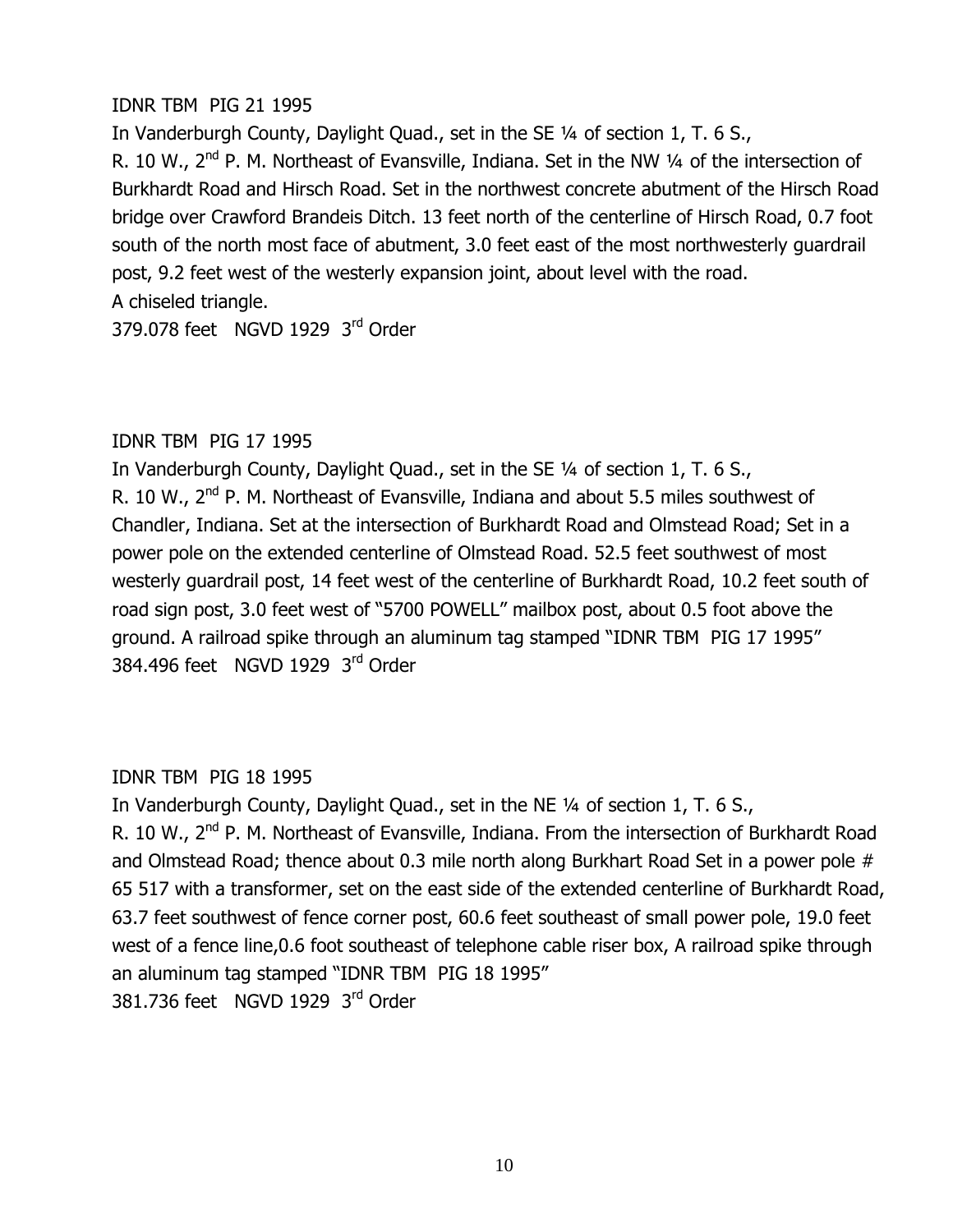#### IDNR TBM PIG 21 1995

In Vanderburgh County, Daylight Quad., set in the SE 1/4 of section 1, T. 6 S., R. 10 W., 2<sup>nd</sup> P. M. Northeast of Evansville, Indiana. Set in the NW 1/4 of the intersection of Burkhardt Road and Hirsch Road. Set in the northwest concrete abutment of the Hirsch Road bridge over Crawford Brandeis Ditch, 13 feet north of the centerline of Hirsch Road, 0.7 foot south of the north most face of abutment, 3.0 feet east of the most northwesterly quardrail post, 9.2 feet west of the westerly expansion joint, about level with the road. A chiseled triangle.

379.078 feet NGVD 1929  $3^{\text{rd}}$  Order

## IDNR TBM PIG 17 1995

In Vanderburgh County, Daylight Quad., set in the SE 1/4 of section 1, T. 6 S., R. 10 W., 2<sup>nd</sup> P. M. Northeast of Evansville, Indiana and about 5.5 miles southwest of Chandler, Indiana. Set at the intersection of Burkhardt Road and Olmstead Road; Set in a power pole on the extended centerline of Olmstead Road. 52.5 feet southwest of most westerly guardrail post, 14 feet west of the centerline of Burkhardt Road, 10.2 feet south of road sign post, 3.0 feet west of "5700 POWELL" mailbox post, about 0.5 foot above the ground. A railroad spike through an aluminum tag stamped "IDNR TBM PIG 17 1995" 384,496 feet NGVD 1929  $3<sup>rd</sup>$  Order

#### IDNR TBM PIG 18 1995

In Vanderburgh County, Daylight Quad., set in the NE 1/4 of section 1, T. 6 S., R. 10 W., 2<sup>nd</sup> P. M. Northeast of Evansville, Indiana. From the intersection of Burkhardt Road and Olmstead Road; thence about 0.3 mile north along Burkhart Road Set in a power pole # 65 517 with a transformer, set on the east side of the extended centerline of Burkhardt Road, 63.7 feet southwest of fence corner post, 60.6 feet southeast of small power pole, 19.0 feet west of a fence line,0.6 foot southeast of telephone cable riser box, A railroad spike through an aluminum tag stamped "IDNR TBM PIG 18 1995" 381.736 feet NGVD 1929  $3<sup>rd</sup>$  Order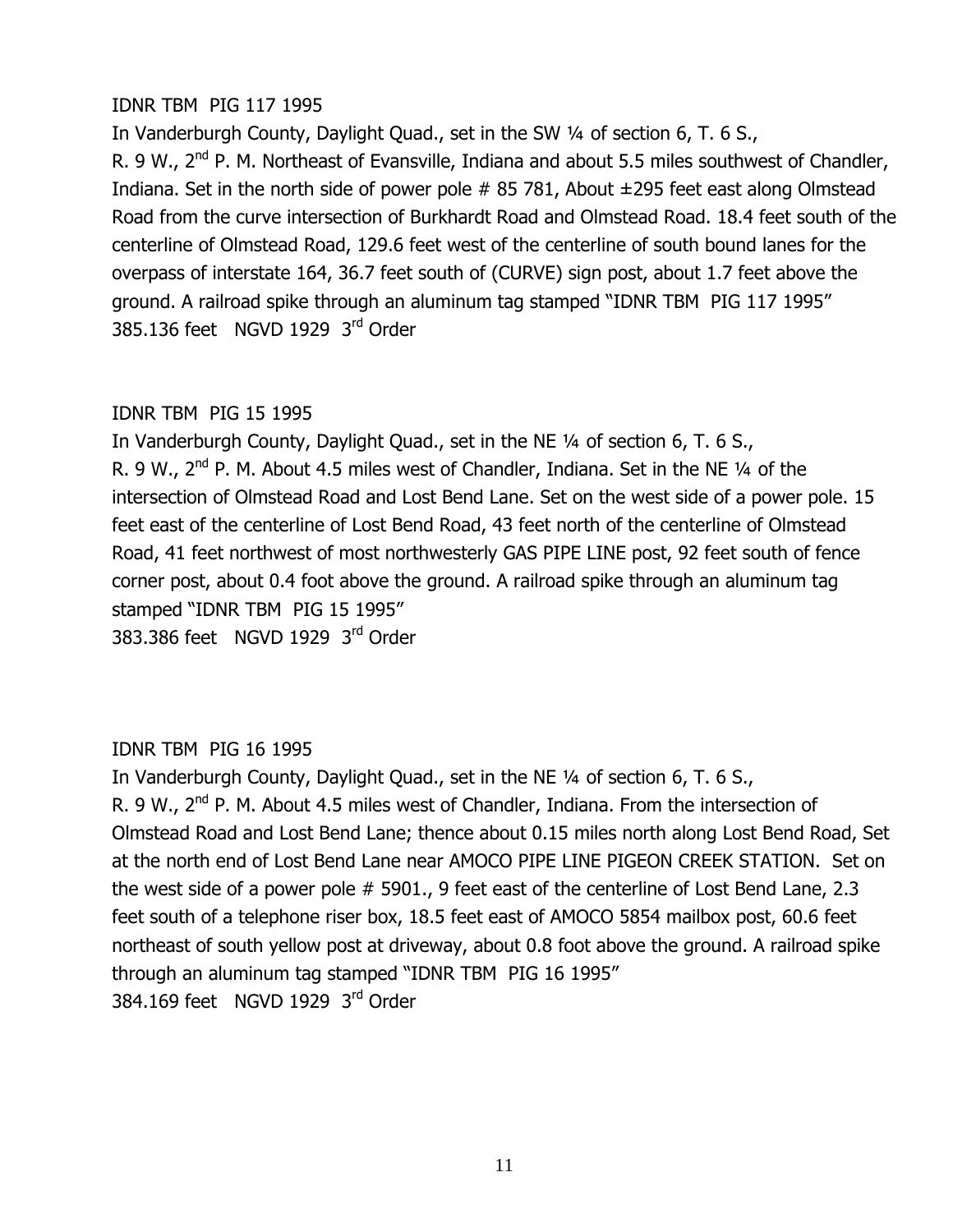## IDNR TBM PIG 117 1995

In Vanderburgh County, Daylight Quad., set in the SW 1/4 of section 6, T. 6 S., R. 9 W.,  $2^{nd}$  P. M. Northeast of Evansville, Indiana and about 5.5 miles southwest of Chandler, Indiana. Set in the north side of power pole  $# 85,781$ , About  $\pm 295$  feet east along Olmstead Road from the curve intersection of Burkhardt Road and Olmstead Road. 18.4 feet south of the centerline of Olmstead Road, 129.6 feet west of the centerline of south bound lanes for the overpass of interstate 164, 36.7 feet south of (CURVE) sign post, about 1.7 feet above the ground. A railroad spike through an aluminum tag stamped "IDNR TBM PIG 117 1995" 385.136 feet NGVD 1929  $3^{\text{rd}}$  Order

## IDNR TBM PIG 15 1995

In Vanderburgh County, Daylight Quad., set in the NE 1/4 of section 6, T. 6 S., R. 9 W.,  $2^{nd}$  P. M. About 4.5 miles west of Chandler, Indiana. Set in the NE  $\frac{1}{4}$  of the intersection of Olmstead Road and Lost Bend Lane. Set on the west side of a power pole. 15 feet east of the centerline of Lost Bend Road, 43 feet north of the centerline of Olmstead Road, 41 feet northwest of most northwesterly GAS PIPE LINE post, 92 feet south of fence corner post, about 0.4 foot above the ground. A railroad spike through an aluminum tag stamped "IDNR TBM PIG 15 1995" 383,386 feet NGVD 1929  $3^{\text{rd}}$  Order

# IDNR TBM PIG 16 1995

In Vanderburgh County, Daylight Quad., set in the NE 1/4 of section 6, T. 6 S., R. 9 W.,  $2^{nd}$  P. M. About 4.5 miles west of Chandler, Indiana. From the intersection of Olmstead Road and Lost Bend Lane; thence about 0.15 miles north along Lost Bend Road, Set at the north end of Lost Bend Lane near AMOCO PIPE LINE PIGEON CREEK STATION. Set on the west side of a power pole  $#$  5901., 9 feet east of the centerline of Lost Bend Lane, 2.3 feet south of a telephone riser box, 18.5 feet east of AMOCO 5854 mailbox post, 60.6 feet northeast of south yellow post at driveway, about 0.8 foot above the ground. A railroad spike through an aluminum tag stamped "IDNR TBM PIG 16 1995" 384.169 feet NGVD 1929  $3<sup>rd</sup>$  Order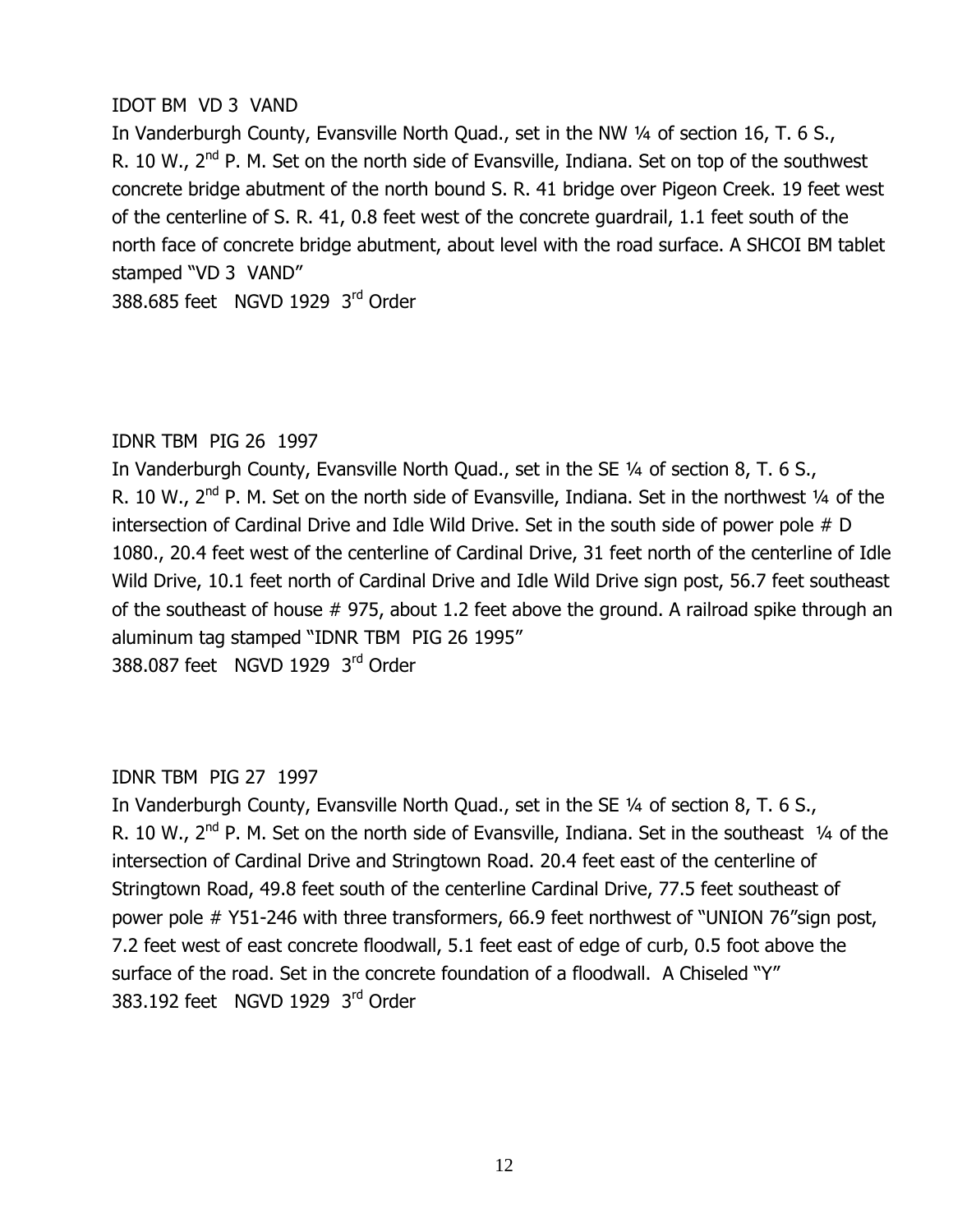#### IDOT BM VD 3 VAND

In Vanderburgh County, Evansville North Quad., set in the NW 1/4 of section 16, T. 6 S., R. 10 W., 2<sup>nd</sup> P. M. Set on the north side of Evansville, Indiana. Set on top of the southwest concrete bridge abutment of the north bound S. R. 41 bridge over Pigeon Creek. 19 feet west of the centerline of S. R. 41, 0.8 feet west of the concrete quardrail, 1.1 feet south of the north face of concrete bridge abutment, about level with the road surface. A SHCOI BM tablet stamped "VD 3 VAND"

388,685 feet NGVD 1929  $3^{\text{rd}}$  Order

#### IDNR TBM PIG 26 1997

In Vanderburgh County, Evansville North Quad., set in the SE 1/4 of section 8, T. 6 S., R. 10 W., 2<sup>nd</sup> P. M. Set on the north side of Evansville, Indiana. Set in the northwest 1/4 of the intersection of Cardinal Drive and Idle Wild Drive. Set in the south side of power pole  $# D$ 1080., 20.4 feet west of the centerline of Cardinal Drive, 31 feet north of the centerline of Idle Wild Drive, 10.1 feet north of Cardinal Drive and Idle Wild Drive sign post, 56.7 feet southeast of the southeast of house  $#$  975, about 1.2 feet above the ground. A railroad spike through an aluminum tag stamped "IDNR TBM PIG 26 1995" 388,087 feet NGVD 1929  $3^{\text{rd}}$  Order

#### IDNR TBM PIG 27 1997

In Vanderburgh County, Evansville North Quad., set in the SE 1/4 of section 8, T. 6 S., R. 10 W.,  $2<sup>nd</sup>$  P. M. Set on the north side of Evansville, Indiana. Set in the southeast  $\frac{1}{4}$  of the intersection of Cardinal Drive and Stringtown Road. 20.4 feet east of the centerline of Stringtown Road, 49.8 feet south of the centerline Cardinal Drive, 77.5 feet southeast of power pole # Y51-246 with three transformers, 66.9 feet northwest of "UNION 76" sign post, 7.2 feet west of east concrete floodwall, 5.1 feet east of edge of curb, 0.5 foot above the surface of the road. Set in the concrete foundation of a floodwall. A Chiseled "Y" 383.192 feet NGVD 1929  $3<sup>rd</sup>$  Order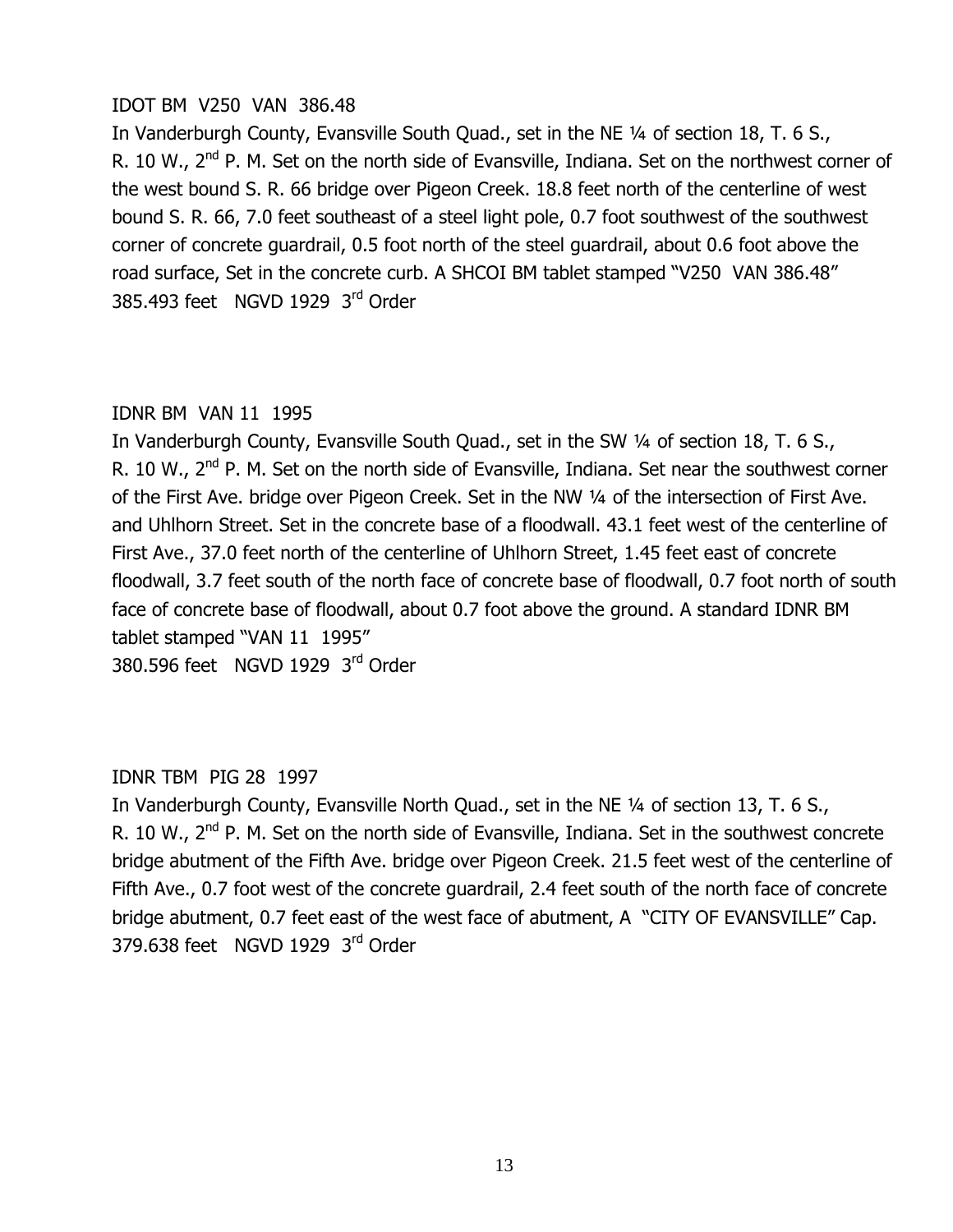#### $IOOT$  BM  $V250$  VAN 386.48

In Vanderburgh County, Evansville South Quad., set in the NE 1/4 of section 18, T. 6 S., R. 10 W., 2<sup>nd</sup> P. M. Set on the north side of Evansville, Indiana. Set on the northwest corner of the west bound S. R. 66 bridge over Pigeon Creek. 18.8 feet north of the centerline of west bound S. R. 66, 7.0 feet southeast of a steel light pole, 0.7 foot southwest of the southwest corner of concrete quardrail, 0.5 foot north of the steel quardrail, about 0.6 foot above the road surface, Set in the concrete curb. A SHCOI BM tablet stamped "V250 VAN 386.48" 385.493 feet NGVD 1929  $3^{\text{rd}}$  Order

## IDNR BM VAN 11 1995

In Vanderburgh County, Evansville South Quad., set in the SW 1/4 of section 18, T. 6 S., R. 10 W., 2<sup>nd</sup> P. M. Set on the north side of Evansville, Indiana. Set near the southwest corner of the First Ave. bridge over Pigeon Creek. Set in the NW 1/4 of the intersection of First Ave. and Uhlhorn Street. Set in the concrete base of a floodwall. 43.1 feet west of the centerline of First Ave., 37.0 feet north of the centerline of Uhlhorn Street, 1.45 feet east of concrete floodwall, 3.7 feet south of the north face of concrete base of floodwall, 0.7 foot north of south face of concrete base of floodwall, about 0.7 foot above the ground. A standard IDNR BM tablet stamped "VAN 11 1995"

380.596 feet NGVD 1929  $3<sup>rd</sup>$  Order

# IDNR TBM PIG 28 1997

In Vanderburgh County, Evansville North Quad., set in the NE 1/4 of section 13, T. 6 S., R. 10 W., 2<sup>nd</sup> P. M. Set on the north side of Evansville, Indiana. Set in the southwest concrete bridge abutment of the Fifth Ave. bridge over Pigeon Creek. 21.5 feet west of the centerline of Fifth Ave., 0.7 foot west of the concrete guardrail, 2.4 feet south of the north face of concrete bridge abutment, 0.7 feet east of the west face of abutment, A "CITY OF EVANSVILLE" Cap. 379.638 feet NGVD 1929  $3^{\text{rd}}$  Order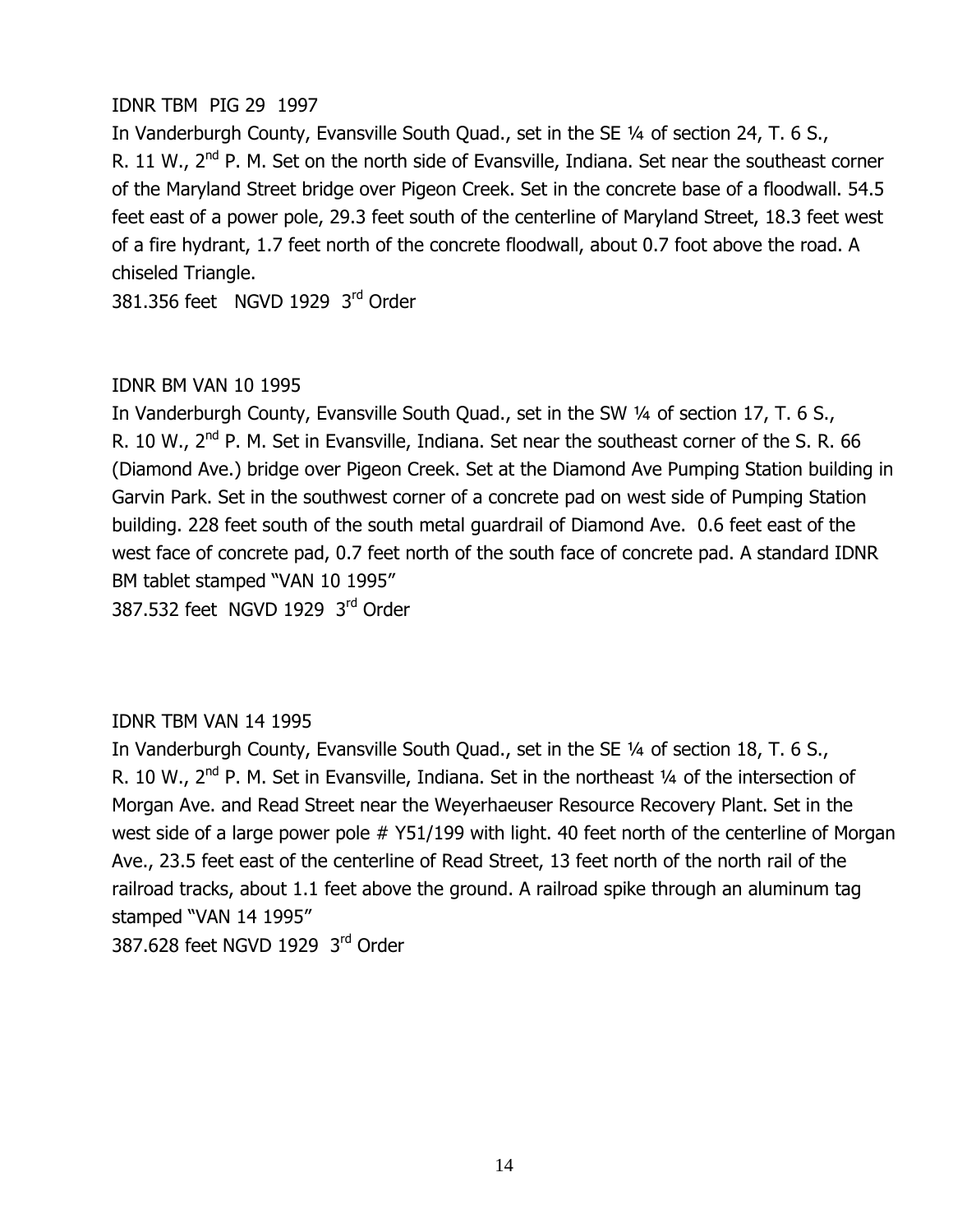## IDNR TBM PIG 29 1997

In Vanderburgh County, Evansville South Quad., set in the SE 1/4 of section 24, T. 6 S., R. 11 W.,  $2<sup>nd</sup>$  P. M. Set on the north side of Evansville, Indiana. Set near the southeast corner of the Maryland Street bridge over Pigeon Creek. Set in the concrete base of a floodwall. 54.5 feet east of a power pole, 29.3 feet south of the centerline of Maryland Street, 18.3 feet west of a fire hydrant, 1.7 feet north of the concrete floodwall, about 0.7 foot above the road. A chiseled Triangle.

381,356 feet NGVD 1929 3rd Order

#### IDNR BM VAN 10 1995

In Vanderburgh County, Evansville South Quad., set in the SW 1/4 of section 17, T. 6 S., R. 10 W., 2<sup>nd</sup> P. M. Set in Evansville, Indiana. Set near the southeast corner of the S. R. 66 (Diamond Ave.) bridge over Pigeon Creek. Set at the Diamond Ave Pumping Station building in Garvin Park. Set in the southwest corner of a concrete pad on west side of Pumping Station building. 228 feet south of the south metal guardrail of Diamond Ave. 0.6 feet east of the west face of concrete pad, 0.7 feet north of the south face of concrete pad. A standard IDNR BM tablet stamped "VAN 10 1995"

387.532 feet NGVD 1929  $3<sup>rd</sup>$  Order

# IDNR TBM VAN 14 1995

In Vanderburgh County, Evansville South Quad., set in the SE 1/4 of section 18, T. 6 S., R. 10 W., 2<sup>nd</sup> P. M. Set in Evansville, Indiana. Set in the northeast 1/4 of the intersection of Morgan Ave. and Read Street near the Weyerhaeuser Resource Recovery Plant. Set in the west side of a large power pole  $#$  Y51/199 with light. 40 feet north of the centerline of Morgan Ave., 23.5 feet east of the centerline of Read Street, 13 feet north of the north rail of the railroad tracks, about 1.1 feet above the ground. A railroad spike through an aluminum tag stamped "VAN 14 1995"

387.628 feet NGVD 1929  $3^{\text{rd}}$  Order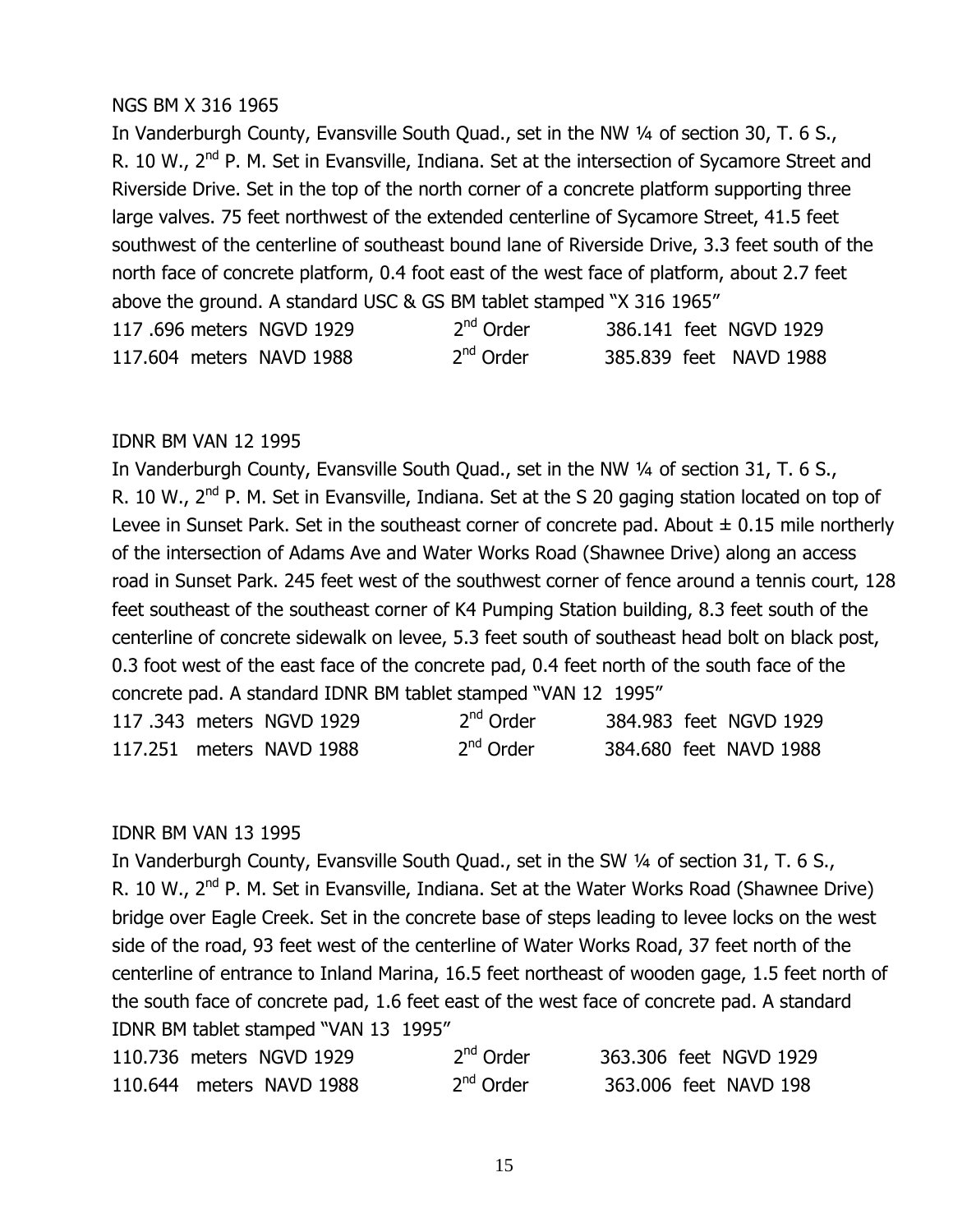#### NGS BM X 316 1965

In Vanderburgh County, Evansville South Quad., set in the NW 1/4 of section 30, T. 6 S., R. 10 W., 2<sup>nd</sup> P. M. Set in Evansville, Indiana. Set at the intersection of Sycamore Street and Riverside Drive. Set in the top of the north corner of a concrete platform supporting three large valves. 75 feet northwest of the extended centerline of Sycamore Street, 41.5 feet southwest of the centerline of southeast bound lane of Riverside Drive, 3.3 feet south of the north face of concrete platform, 0.4 foot east of the west face of platform, about 2.7 feet above the ground. A standard USC & GS BM tablet stamped "X 316 1965"

|  | 117,696 meters NGVD 1929 | $2nd$ Order |  | 386.141 feet NGVD 1929 |
|--|--------------------------|-------------|--|------------------------|
|  | 117,604 meters NAVD 1988 | $2nd$ Order |  | 385.839 feet NAVD 1988 |

#### IDNR BM VAN 12 1995

In Vanderburgh County, Evansville South Quad., set in the NW 1/4 of section 31, T. 6 S., R. 10 W., 2<sup>nd</sup> P. M. Set in Evansville, Indiana. Set at the S 20 gaging station located on top of Levee in Sunset Park. Set in the southeast corner of concrete pad. About  $\pm$  0.15 mile northerly of the intersection of Adams Ave and Water Works Road (Shawnee Drive) along an access road in Sunset Park. 245 feet west of the southwest corner of fence around a tennis court, 128 feet southeast of the southeast corner of K4 Pumping Station building, 8.3 feet south of the centerline of concrete sidewalk on levee, 5.3 feet south of southeast head bolt on black post, 0.3 foot west of the east face of the concrete pad, 0.4 feet north of the south face of the concrete pad. A standard IDNR BM tablet stamped "VAN 12 1995"

|  | 117.343 meters NGVD 1929 | 2 <sup>nd</sup> Order |  | 384.983 feet NGVD 1929 |
|--|--------------------------|-----------------------|--|------------------------|
|  | 117.251 meters NAVD 1988 | 2 <sup>nd</sup> Order |  | 384,680 feet NAVD 1988 |

#### IDNR BM VAN 13 1995

In Vanderburgh County, Evansville South Quad., set in the SW 1/4 of section 31, T. 6 S., R. 10 W., 2<sup>nd</sup> P. M. Set in Evansville, Indiana. Set at the Water Works Road (Shawnee Drive) bridge over Eagle Creek. Set in the concrete base of steps leading to levee locks on the west side of the road, 93 feet west of the centerline of Water Works Road, 37 feet north of the centerline of entrance to Inland Marina, 16.5 feet northeast of wooden gage, 1.5 feet north of the south face of concrete pad, 1.6 feet east of the west face of concrete pad. A standard IDNR BM tablet stamped "VAN 13 1995"

| 110.736 meters NGVD 1929 | 2 <sup>nd</sup> Order | 363.306 feet NGVD 1929 |
|--------------------------|-----------------------|------------------------|
| 110.644 meters NAVD 1988 | $2nd$ Order           | 363,006 feet NAVD 198  |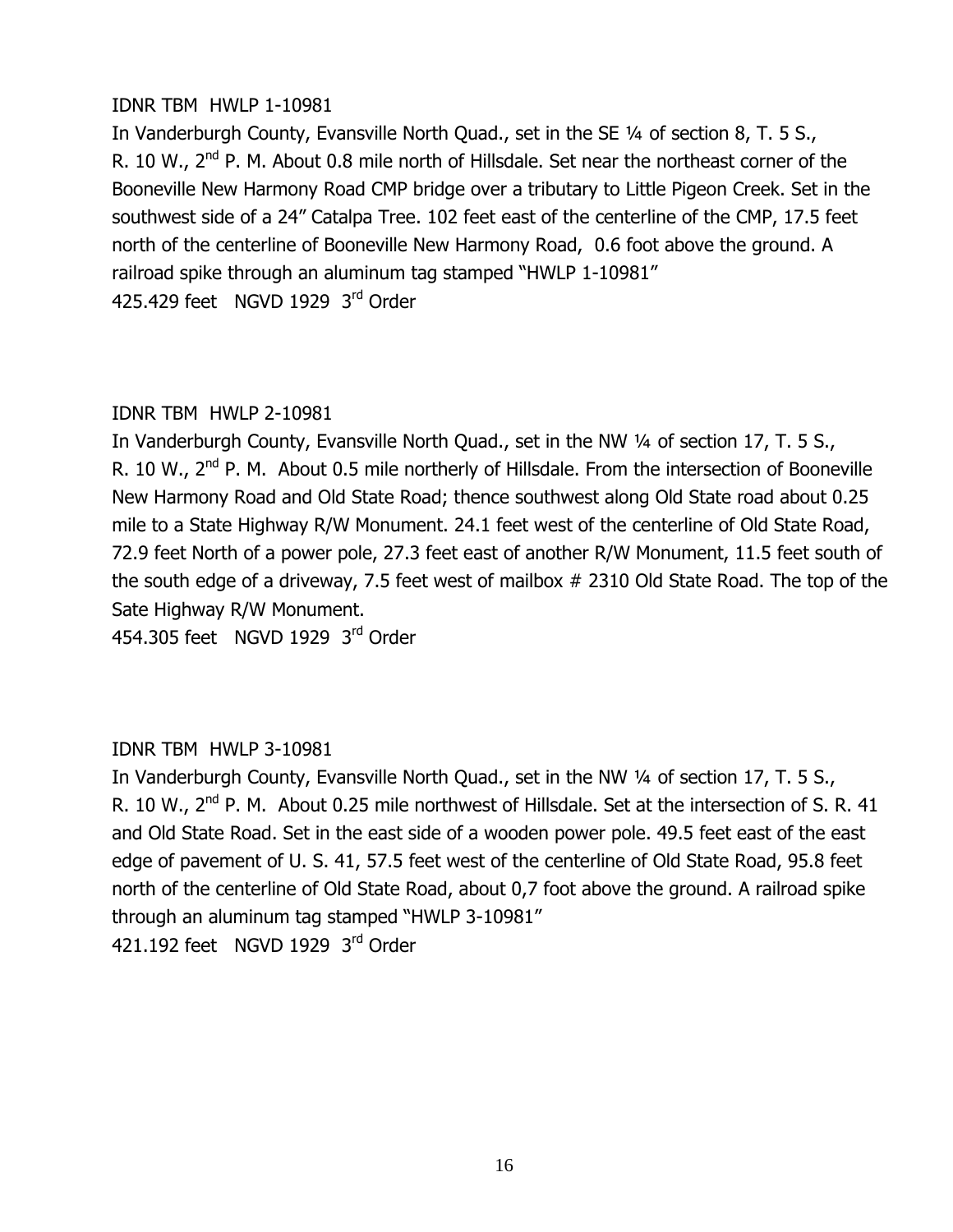## IDNR TBM HWLP 1-10981

In Vanderburgh County, Evansville North Quad., set in the SE 1/4 of section 8, T. 5 S., R. 10 W.,  $2<sup>nd</sup>$  P. M. About 0.8 mile north of Hillsdale. Set near the northeast corner of the Booneville New Harmony Road CMP bridge over a tributary to Little Pigeon Creek. Set in the southwest side of a 24" Catalpa Tree. 102 feet east of the centerline of the CMP, 17.5 feet north of the centerline of Booneville New Harmony Road, 0.6 foot above the ground. A railroad spike through an aluminum tag stamped "HWLP 1-10981" 425.429 feet NGVD 1929  $3<sup>rd</sup>$  Order

## IDNR TBM HWLP 2-10981

In Vanderburgh County, Evansville North Quad., set in the NW 1/4 of section 17, T. 5 S., R. 10 W., 2<sup>nd</sup> P. M. About 0.5 mile northerly of Hillsdale. From the intersection of Booneville New Harmony Road and Old State Road; thence southwest along Old State road about 0.25 mile to a State Highway R/W Monument. 24.1 feet west of the centerline of Old State Road, 72.9 feet North of a power pole, 27.3 feet east of another R/W Monument, 11.5 feet south of the south edge of a driveway, 7.5 feet west of mailbox  $#$  2310 Old State Road. The top of the Sate Highway R/W Monument.

454,305 feet NGVD 1929  $3<sup>rd</sup>$  Order

# IDNR TBM HWLP 3-10981

In Vanderburgh County, Evansville North Quad., set in the NW 1/4 of section 17, T. 5 S., R. 10 W., 2<sup>nd</sup> P. M. About 0.25 mile northwest of Hillsdale. Set at the intersection of S. R. 41 and Old State Road. Set in the east side of a wooden power pole. 49.5 feet east of the east edge of pavement of U.S. 41, 57.5 feet west of the centerline of Old State Road, 95.8 feet north of the centerline of Old State Road, about 0,7 foot above the ground. A railroad spike through an aluminum tag stamped "HWLP 3-10981" 421.192 feet NGVD 1929  $3<sup>rd</sup>$  Order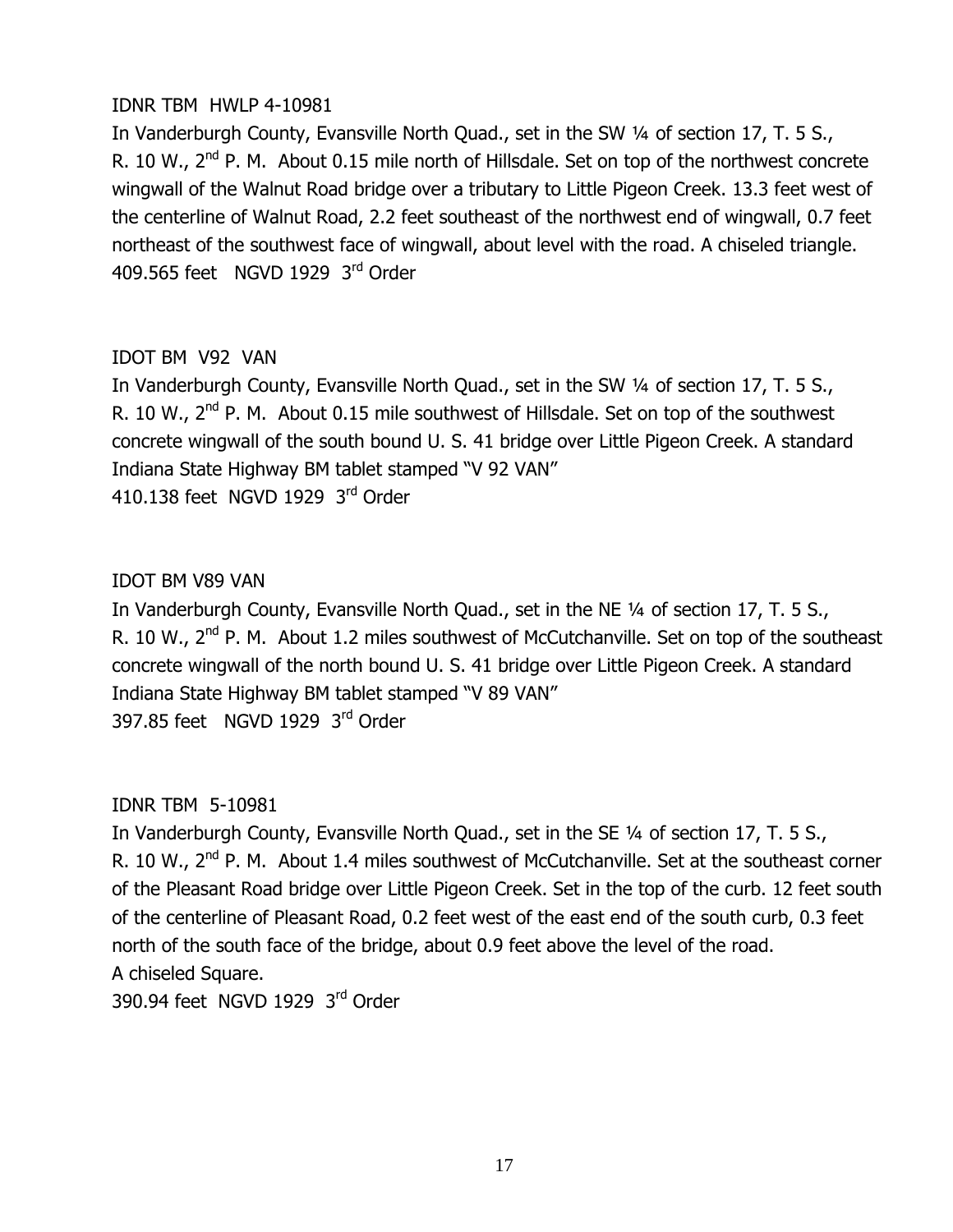#### IDNR TBM HWLP 4-10981

In Vanderburgh County, Evansville North Quad., set in the SW 1/4 of section 17, T. 5 S., R. 10 W., 2<sup>nd</sup> P. M. About 0.15 mile north of Hillsdale. Set on top of the northwest concrete wingwall of the Walnut Road bridge over a tributary to Little Pigeon Creek. 13.3 feet west of the centerline of Walnut Road, 2.2 feet southeast of the northwest end of wingwall, 0.7 feet northeast of the southwest face of wingwall, about level with the road. A chiseled triangle. 409.565 feet NGVD 1929 3rd Order

# IDOT BM V92 VAN

In Vanderburgh County, Evansville North Quad., set in the SW 1/4 of section 17, T. 5 S., R. 10 W., 2<sup>nd</sup> P. M. About 0.15 mile southwest of Hillsdale. Set on top of the southwest concrete wingwall of the south bound U. S. 41 bridge over Little Pigeon Creek. A standard Indiana State Highway BM tablet stamped "V 92 VAN" 410.138 feet NGVD 1929  $3^{\text{rd}}$  Order

## IDOT BM V89 VAN

In Vanderburgh County, Evansville North Quad., set in the NE 1/4 of section 17, T. 5 S., R. 10 W., 2<sup>nd</sup> P. M. About 1.2 miles southwest of McCutchanville. Set on top of the southeast concrete wingwall of the north bound U. S. 41 bridge over Little Pigeon Creek. A standard Indiana State Highway BM tablet stamped "V 89 VAN" 397.85 feet NGVD 1929  $3^{\text{rd}}$  Order

# IDNR TBM 5-10981

In Vanderburgh County, Evansville North Quad., set in the SE 1/4 of section 17, T. 5 S., R. 10 W., 2<sup>nd</sup> P. M. About 1.4 miles southwest of McCutchanville. Set at the southeast corner of the Pleasant Road bridge over Little Pigeon Creek. Set in the top of the curb. 12 feet south of the centerline of Pleasant Road, 0.2 feet west of the east end of the south curb, 0.3 feet north of the south face of the bridge, about 0.9 feet above the level of the road. A chiseled Square.

390.94 feet NGVD 1929  $3<sup>rd</sup>$  Order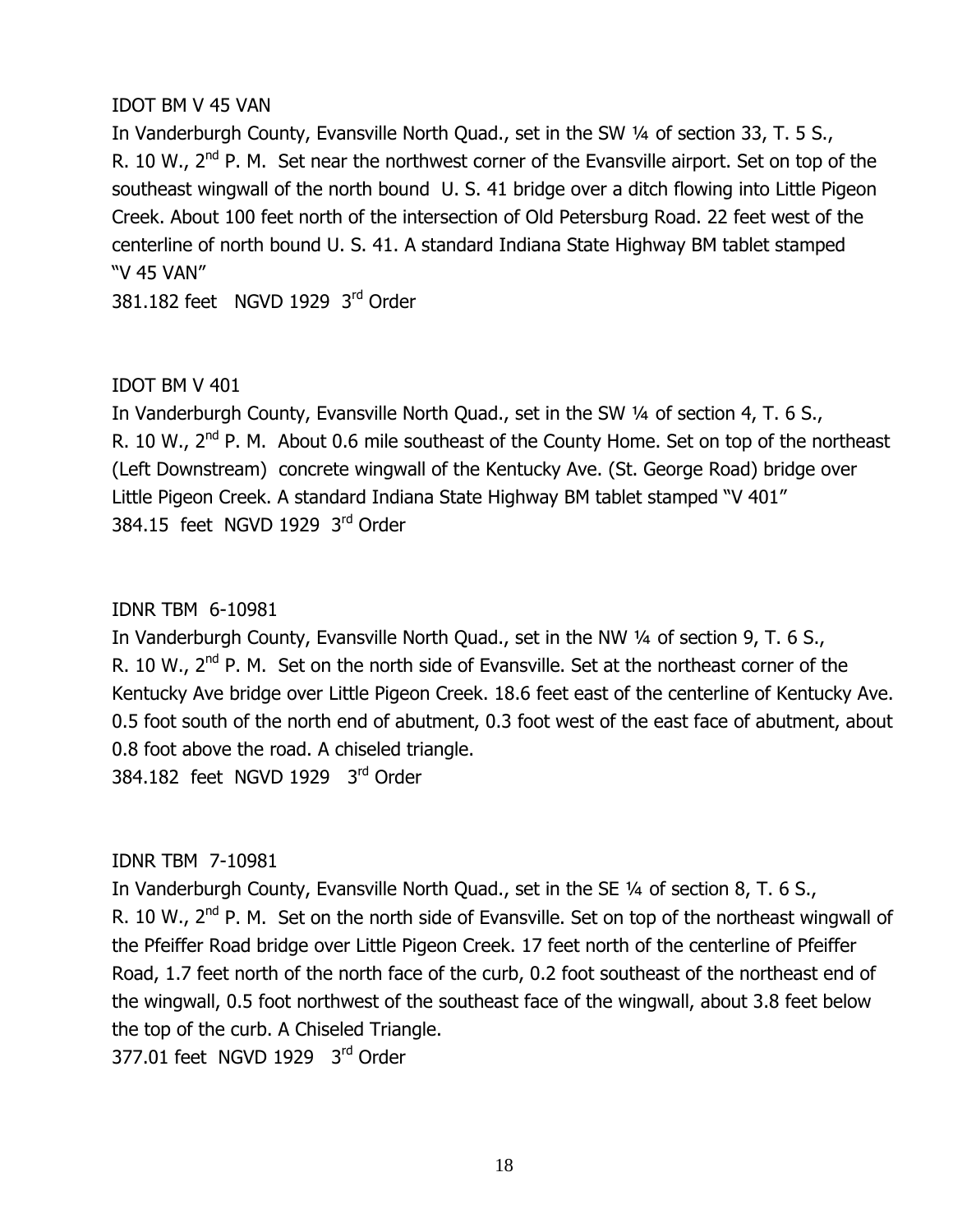#### IDOT BM V 45 VAN

In Vanderburgh County, Evansville North Quad., set in the SW 1/4 of section 33, T. 5 S., R. 10 W., 2<sup>nd</sup> P. M. Set near the northwest corner of the Evansville airport. Set on top of the southeast wingwall of the north bound U. S. 41 bridge over a ditch flowing into Little Pigeon Creek. About 100 feet north of the intersection of Old Petersburg Road. 22 feet west of the centerline of north bound U. S. 41. A standard Indiana State Highway BM tablet stamped "V 45 VAN"

381.182 feet NGVD 1929  $3^{\text{rd}}$  Order

## $IDOT$  BM V 401

In Vanderburgh County, Evansville North Quad., set in the SW 1/4 of section 4, T. 6 S., R. 10 W., 2<sup>nd</sup> P. M. About 0.6 mile southeast of the County Home. Set on top of the northeast (Left Downstream) concrete wingwall of the Kentucky Ave. (St. George Road) bridge over Little Pigeon Creek. A standard Indiana State Highway BM tablet stamped "V 401" 384.15 feet NGVD 1929  $3^{\text{rd}}$  Order

## IDNR TBM 6-10981

In Vanderburgh County, Evansville North Quad., set in the NW 1/4 of section 9, T. 6 S., R. 10 W., 2<sup>nd</sup> P. M. Set on the north side of Evansville. Set at the northeast corner of the Kentucky Ave bridge over Little Pigeon Creek. 18.6 feet east of the centerline of Kentucky Ave. 0.5 foot south of the north end of abutment, 0.3 foot west of the east face of abutment, about 0.8 foot above the road. A chiseled triangle. 384.182 feet NGVD 1929  $3^{\text{rd}}$  Order

# IDNR TBM 7-10981

In Vanderburgh County, Evansville North Quad., set in the SE 1/4 of section 8, T. 6 S., R. 10 W.,  $2<sup>nd</sup>$  P. M. Set on the north side of Evansville. Set on top of the northeast wingwall of the Pfeiffer Road bridge over Little Pigeon Creek. 17 feet north of the centerline of Pfeiffer Road, 1.7 feet north of the north face of the curb, 0.2 foot southeast of the northeast end of the wingwall, 0.5 foot northwest of the southeast face of the wingwall, about 3.8 feet below the top of the curb. A Chiseled Triangle.

377.01 feet NGVD 1929  $3^{\text{rd}}$  Order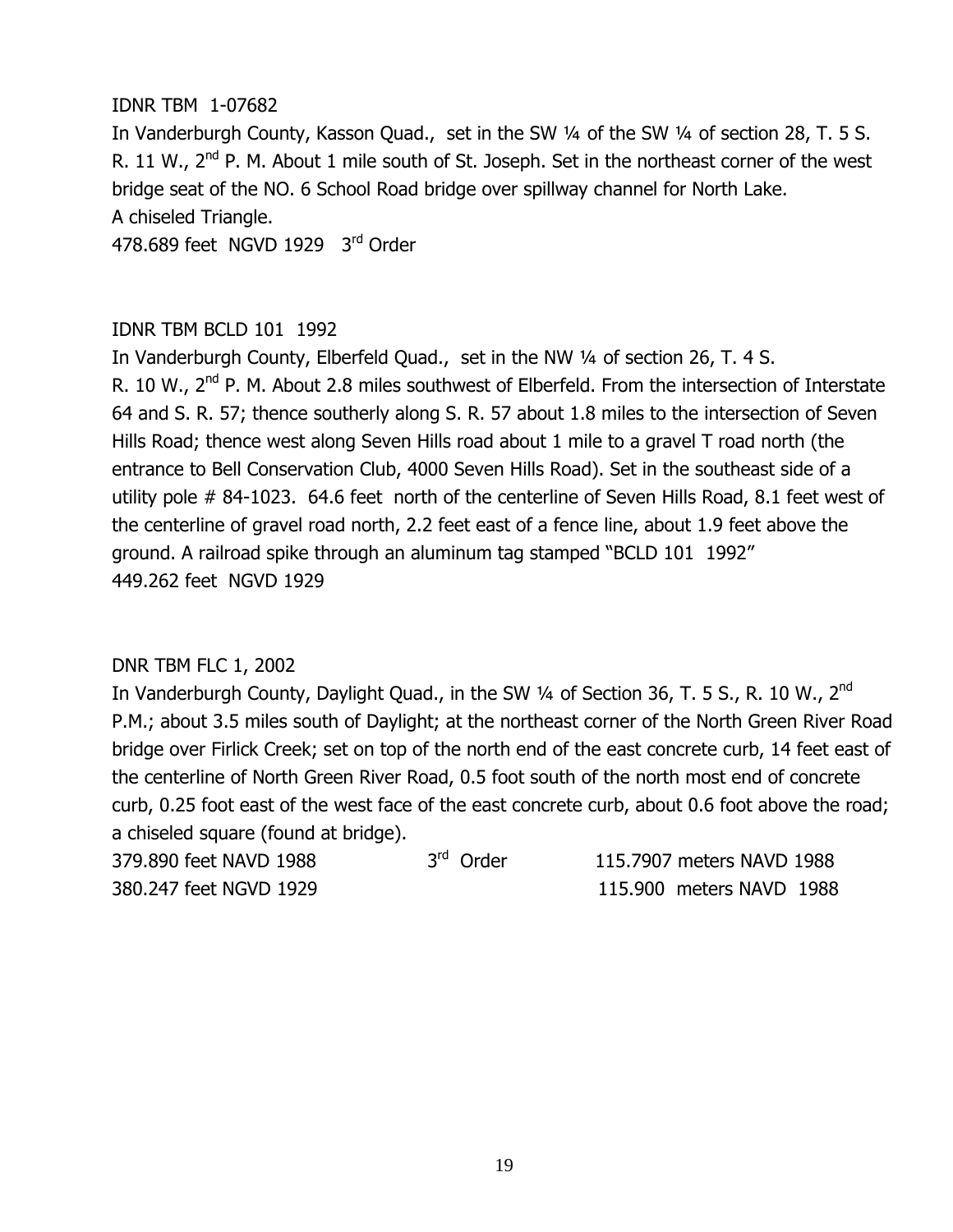#### IDNR TBM 1-07682

In Vanderburgh County, Kasson Quad., set in the SW 1/4 of the SW 1/4 of section 28, T. 5 S. R. 11 W.,  $2<sup>nd</sup>$  P. M. About 1 mile south of St. Joseph. Set in the northeast corner of the west bridge seat of the NO. 6 School Road bridge over spillway channel for North Lake. A chiseled Triangle.

478,689 feet NGVD 1929  $3<sup>rd</sup>$  Order

#### IDNR TBM BCLD 101 1992

In Vanderburgh County, Elberfeld Quad., set in the NW 1/4 of section 26, T. 4 S. R. 10 W., 2<sup>nd</sup> P. M. About 2.8 miles southwest of Elberfeld. From the intersection of Interstate 64 and S. R. 57; thence southerly along S. R. 57 about 1.8 miles to the intersection of Seven Hills Road; thence west along Seven Hills road about 1 mile to a gravel T road north (the entrance to Bell Conservation Club, 4000 Seven Hills Road). Set in the southeast side of a utility pole  $#$  84-1023. 64.6 feet north of the centerline of Seven Hills Road, 8.1 feet west of the centerline of gravel road north, 2.2 feet east of a fence line, about 1.9 feet above the ground. A railroad spike through an aluminum tag stamped "BCLD 101 1992" 449.262 feet NGVD 1929

#### DNR TBM FLC 1, 2002

In Vanderburgh County, Daylight Quad., in the SW  $\frac{1}{4}$  of Section 36, T. 5 S., R. 10 W., 2<sup>nd</sup> P.M.; about 3.5 miles south of Daylight; at the northeast corner of the North Green River Road bridge over Firlick Creek; set on top of the north end of the east concrete curb, 14 feet east of the centerline of North Green River Road, 0.5 foot south of the north most end of concrete curb, 0.25 foot east of the west face of the east concrete curb, about 0.6 foot above the road; a chiseled square (found at bridge).

| 379.890 feet NAVD 1988 | 3 <sup>rd</sup> Order |  | 115,7907 meters NAVD 1988 |  |
|------------------------|-----------------------|--|---------------------------|--|
| 380.247 feet NGVD 1929 |                       |  | 115,900 meters NAVD 1988  |  |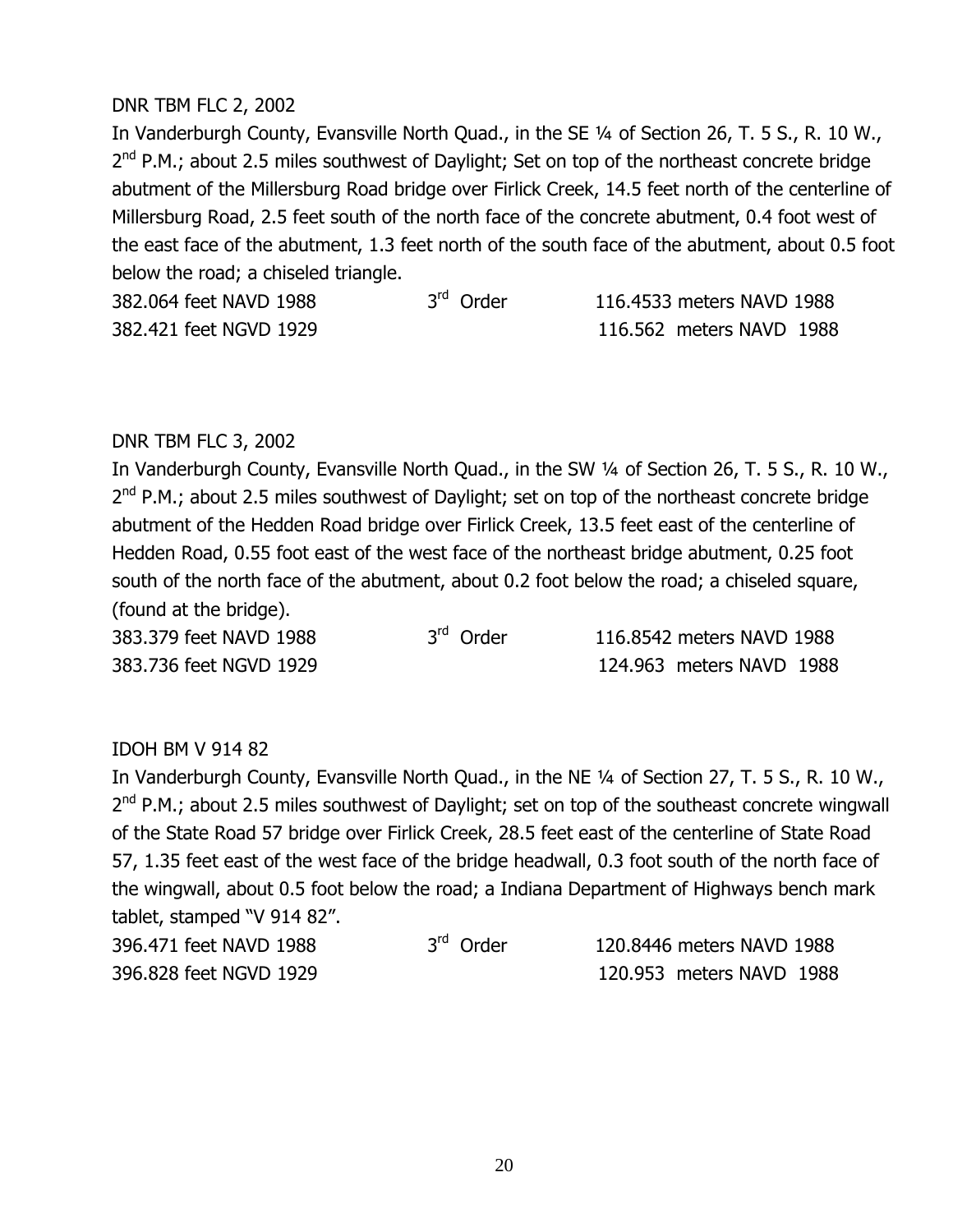#### DNR TBM FLC 2, 2002

In Vanderburgh County, Evansville North Quad., in the SE 1/4 of Section 26, T. 5 S., R. 10 W., 2<sup>nd</sup> P.M.; about 2.5 miles southwest of Daylight; Set on top of the northeast concrete bridge abutment of the Millersburg Road bridge over Firlick Creek, 14.5 feet north of the centerline of Millersburg Road, 2.5 feet south of the north face of the concrete abutment, 0.4 foot west of the east face of the abutment, 1.3 feet north of the south face of the abutment, about 0.5 foot below the road; a chiseled triangle.

| 382,064 feet NAVD 1988 | 3 <sup>rd</sup> Order | 116.4533 meters NAVD 1988 |  |
|------------------------|-----------------------|---------------------------|--|
| 382.421 feet NGVD 1929 |                       | 116.562 meters NAVD 1988  |  |

#### DNR TBM FLC 3, 2002

In Vanderburgh County, Evansville North Quad., in the SW 1/4 of Section 26, T. 5 S., R. 10 W., 2<sup>nd</sup> P.M.; about 2.5 miles southwest of Daylight; set on top of the northeast concrete bridge abutment of the Hedden Road bridge over Firlick Creek, 13.5 feet east of the centerline of Hedden Road, 0.55 foot east of the west face of the northeast bridge abutment, 0.25 foot south of the north face of the abutment, about 0.2 foot below the road; a chiseled square, (found at the bridge).

 $383.379$  feet NAVD 1988  $3^{rd}$  Order  $116.8542$  meters NAVD 1988 **383.736 feet NGVD 1929** MAXN MAXN MAXN MAXN 1988

#### IDOH BM V 914 82

In Vanderburgh County, Evansville North Quad., in the NE 1/4 of Section 27, T. 5 S., R. 10 W., 2<sup>nd</sup> P.M.; about 2.5 miles southwest of Daylight; set on top of the southeast concrete wingwall of the State Road 57 bridge over Firlick Creek, 28.5 feet east of the centerline of State Road 57, 1.35 feet east of the west face of the bridge headwall, 0.3 foot south of the north face of the wingwall, about 0.5 foot below the road; a Indiana Department of Highways bench mark tablet, stamped "V 914 82".

| 396.471 feet NAVD 1988 | 3 <sup>rd</sup> Order | 120.8446 meters NAVD 1988 |  |
|------------------------|-----------------------|---------------------------|--|
| 396.828 feet NGVD 1929 |                       | 120.953 meters NAVD 1988  |  |